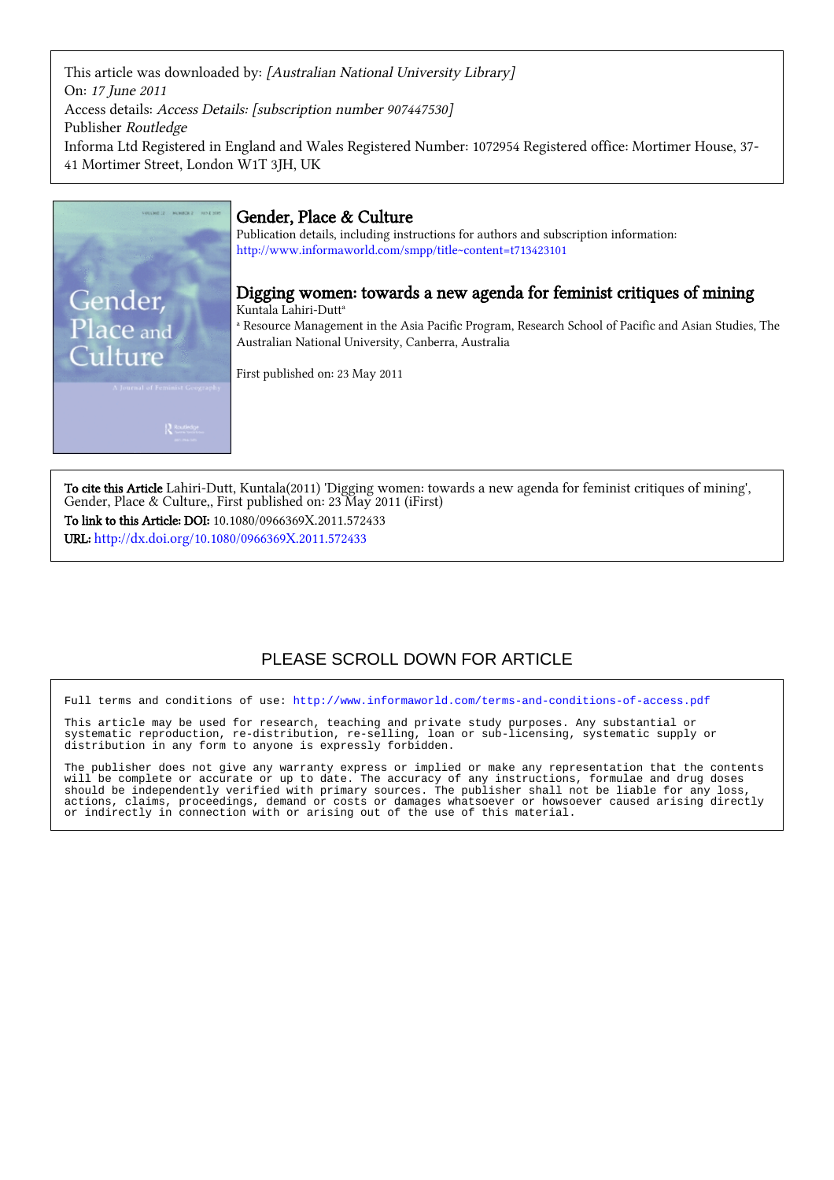This article was downloaded by: [Australian National University Library] On: 17 June 2011 Access details: Access Details: [subscription number 907447530] Publisher Routledge Informa Ltd Registered in England and Wales Registered Number: 1072954 Registered office: Mortimer House, 37- 41 Mortimer Street, London W1T 3JH, UK



## Gender, Place & Culture

Publication details, including instructions for authors and subscription information: <http://www.informaworld.com/smpp/title~content=t713423101>

## Digging women: towards a new agenda for feminist critiques of mining Kuntala Lahiri-Dutt<sup>a</sup>

a Resource Management in the Asia Pacific Program, Research School of Pacific and Asian Studies, The Australian National University, Canberra, Australia

First published on: 23 May 2011

To cite this Article Lahiri-Dutt, Kuntala(2011) 'Digging women: towards a new agenda for feminist critiques of mining', Gender, Place & Culture,, First published on: 23 May 2011 (iFirst) To link to this Article: DOI: 10.1080/0966369X.2011.572433

URL: <http://dx.doi.org/10.1080/0966369X.2011.572433>

# PLEASE SCROLL DOWN FOR ARTICLE

Full terms and conditions of use:<http://www.informaworld.com/terms-and-conditions-of-access.pdf>

This article may be used for research, teaching and private study purposes. Any substantial or systematic reproduction, re-distribution, re-selling, loan or sub-licensing, systematic supply or distribution in any form to anyone is expressly forbidden.

The publisher does not give any warranty express or implied or make any representation that the contents will be complete or accurate or up to date. The accuracy of any instructions, formulae and drug doses should be independently verified with primary sources. The publisher shall not be liable for any loss, actions, claims, proceedings, demand or costs or damages whatsoever or howsoever caused arising directly or indirectly in connection with or arising out of the use of this material.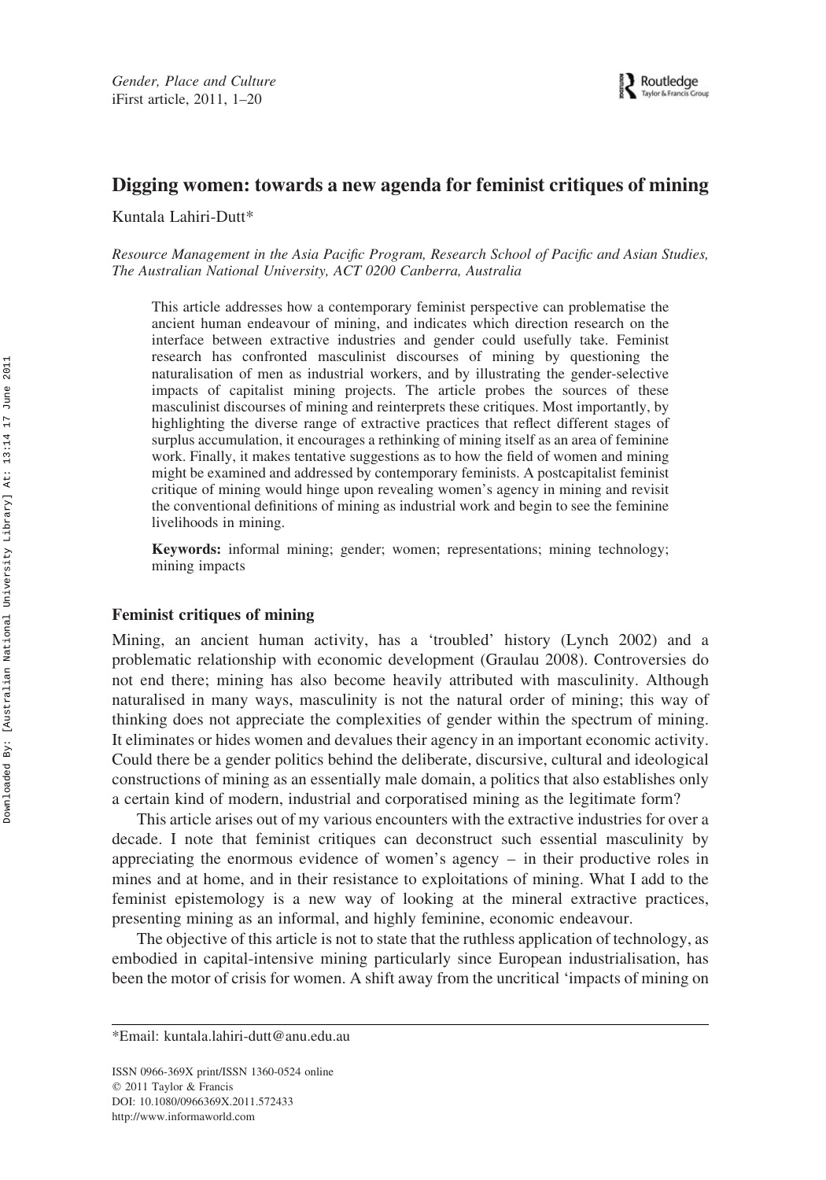## Digging women: towards a new agenda for feminist critiques of mining

Kuntala Lahiri-Dutt\*

Resource Management in the Asia Pacific Program, Research School of Pacific and Asian Studies, The Australian National University, ACT 0200 Canberra, Australia

This article addresses how a contemporary feminist perspective can problematise the ancient human endeavour of mining, and indicates which direction research on the interface between extractive industries and gender could usefully take. Feminist research has confronted masculinist discourses of mining by questioning the naturalisation of men as industrial workers, and by illustrating the gender-selective impacts of capitalist mining projects. The article probes the sources of these masculinist discourses of mining and reinterprets these critiques. Most importantly, by highlighting the diverse range of extractive practices that reflect different stages of surplus accumulation, it encourages a rethinking of mining itself as an area of feminine work. Finally, it makes tentative suggestions as to how the field of women and mining might be examined and addressed by contemporary feminists. A postcapitalist feminist critique of mining would hinge upon revealing women's agency in mining and revisit the conventional definitions of mining as industrial work and begin to see the feminine livelihoods in mining.

Keywords: informal mining; gender; women; representations; mining technology; mining impacts

#### Feminist critiques of mining

Mining, an ancient human activity, has a 'troubled' history (Lynch 2002) and a problematic relationship with economic development (Graulau 2008). Controversies do not end there; mining has also become heavily attributed with masculinity. Although naturalised in many ways, masculinity is not the natural order of mining; this way of thinking does not appreciate the complexities of gender within the spectrum of mining. It eliminates or hides women and devalues their agency in an important economic activity. Could there be a gender politics behind the deliberate, discursive, cultural and ideological constructions of mining as an essentially male domain, a politics that also establishes only a certain kind of modern, industrial and corporatised mining as the legitimate form?

This article arises out of my various encounters with the extractive industries for over a decade. I note that feminist critiques can deconstruct such essential masculinity by appreciating the enormous evidence of women's agency – in their productive roles in mines and at home, and in their resistance to exploitations of mining. What I add to the feminist epistemology is a new way of looking at the mineral extractive practices, presenting mining as an informal, and highly feminine, economic endeavour.

The objective of this article is not to state that the ruthless application of technology, as embodied in capital-intensive mining particularly since European industrialisation, has been the motor of crisis for women. A shift away from the uncritical 'impacts of mining on

ISSN 0966-369X print/ISSN 1360-0524 online  $© 2011 Taylor & Francis$ DOI: 10.1080/0966369X.2011.572433 http://www.informaworld.com

<sup>\*</sup>Email: kuntala.lahiri-dutt@anu.edu.au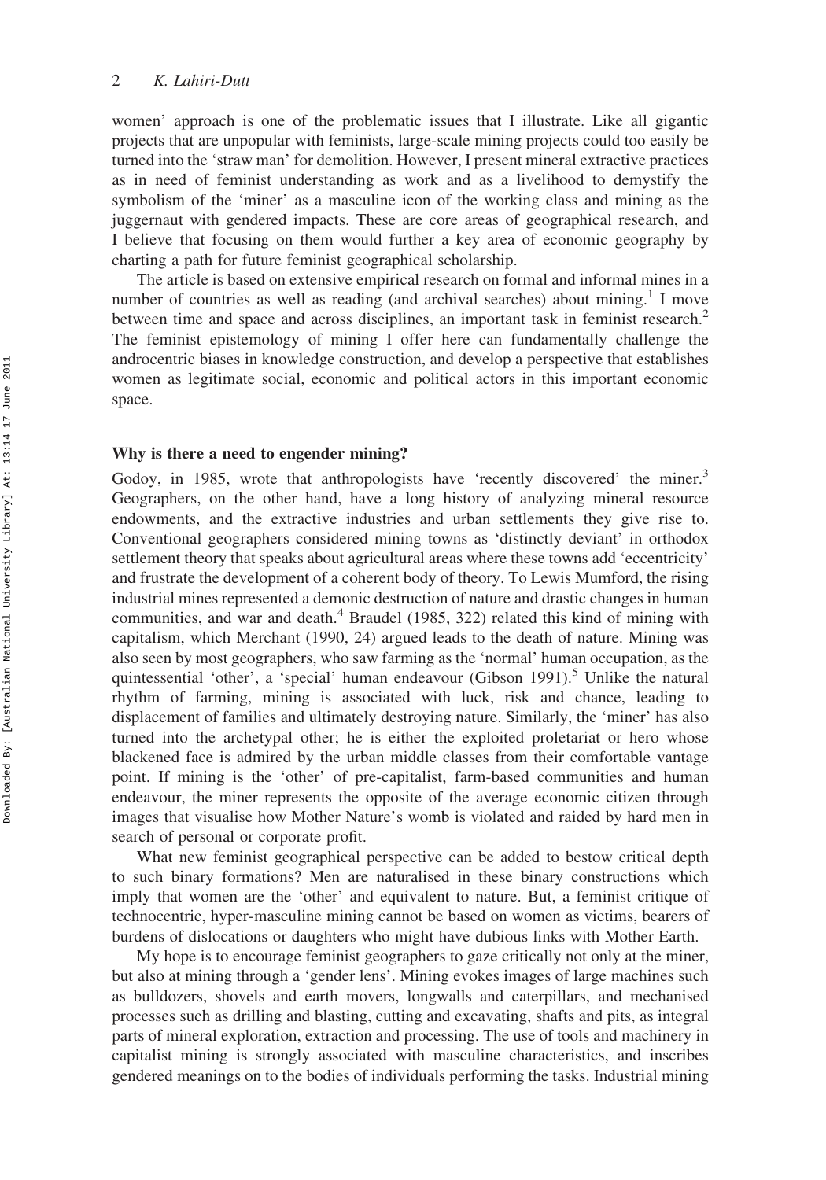women' approach is one of the problematic issues that I illustrate. Like all gigantic projects that are unpopular with feminists, large-scale mining projects could too easily be turned into the 'straw man' for demolition. However, I present mineral extractive practices as in need of feminist understanding as work and as a livelihood to demystify the symbolism of the 'miner' as a masculine icon of the working class and mining as the juggernaut with gendered impacts. These are core areas of geographical research, and I believe that focusing on them would further a key area of economic geography by charting a path for future feminist geographical scholarship.

The article is based on extensive empirical research on formal and informal mines in a number of countries as well as reading (and archival searches) about mining.<sup>1</sup> I move between time and space and across disciplines, an important task in feminist research.<sup>2</sup> The feminist epistemology of mining I offer here can fundamentally challenge the androcentric biases in knowledge construction, and develop a perspective that establishes women as legitimate social, economic and political actors in this important economic space.

#### Why is there a need to engender mining?

Godoy, in 1985, wrote that anthropologists have 'recently discovered' the miner.<sup>3</sup> Geographers, on the other hand, have a long history of analyzing mineral resource endowments, and the extractive industries and urban settlements they give rise to. Conventional geographers considered mining towns as 'distinctly deviant' in orthodox settlement theory that speaks about agricultural areas where these towns add 'eccentricity' and frustrate the development of a coherent body of theory. To Lewis Mumford, the rising industrial mines represented a demonic destruction of nature and drastic changes in human communities, and war and death.<sup>4</sup> Braudel (1985, 322) related this kind of mining with capitalism, which Merchant (1990, 24) argued leads to the death of nature. Mining was also seen by most geographers, who saw farming as the 'normal' human occupation, as the quintessential 'other', a 'special' human endeavour (Gibson 1991).<sup>5</sup> Unlike the natural rhythm of farming, mining is associated with luck, risk and chance, leading to displacement of families and ultimately destroying nature. Similarly, the 'miner' has also turned into the archetypal other; he is either the exploited proletariat or hero whose blackened face is admired by the urban middle classes from their comfortable vantage point. If mining is the 'other' of pre-capitalist, farm-based communities and human endeavour, the miner represents the opposite of the average economic citizen through images that visualise how Mother Nature's womb is violated and raided by hard men in search of personal or corporate profit.

What new feminist geographical perspective can be added to bestow critical depth to such binary formations? Men are naturalised in these binary constructions which imply that women are the 'other' and equivalent to nature. But, a feminist critique of technocentric, hyper-masculine mining cannot be based on women as victims, bearers of burdens of dislocations or daughters who might have dubious links with Mother Earth.

My hope is to encourage feminist geographers to gaze critically not only at the miner, but also at mining through a 'gender lens'. Mining evokes images of large machines such as bulldozers, shovels and earth movers, longwalls and caterpillars, and mechanised processes such as drilling and blasting, cutting and excavating, shafts and pits, as integral parts of mineral exploration, extraction and processing. The use of tools and machinery in capitalist mining is strongly associated with masculine characteristics, and inscribes gendered meanings on to the bodies of individuals performing the tasks. Industrial mining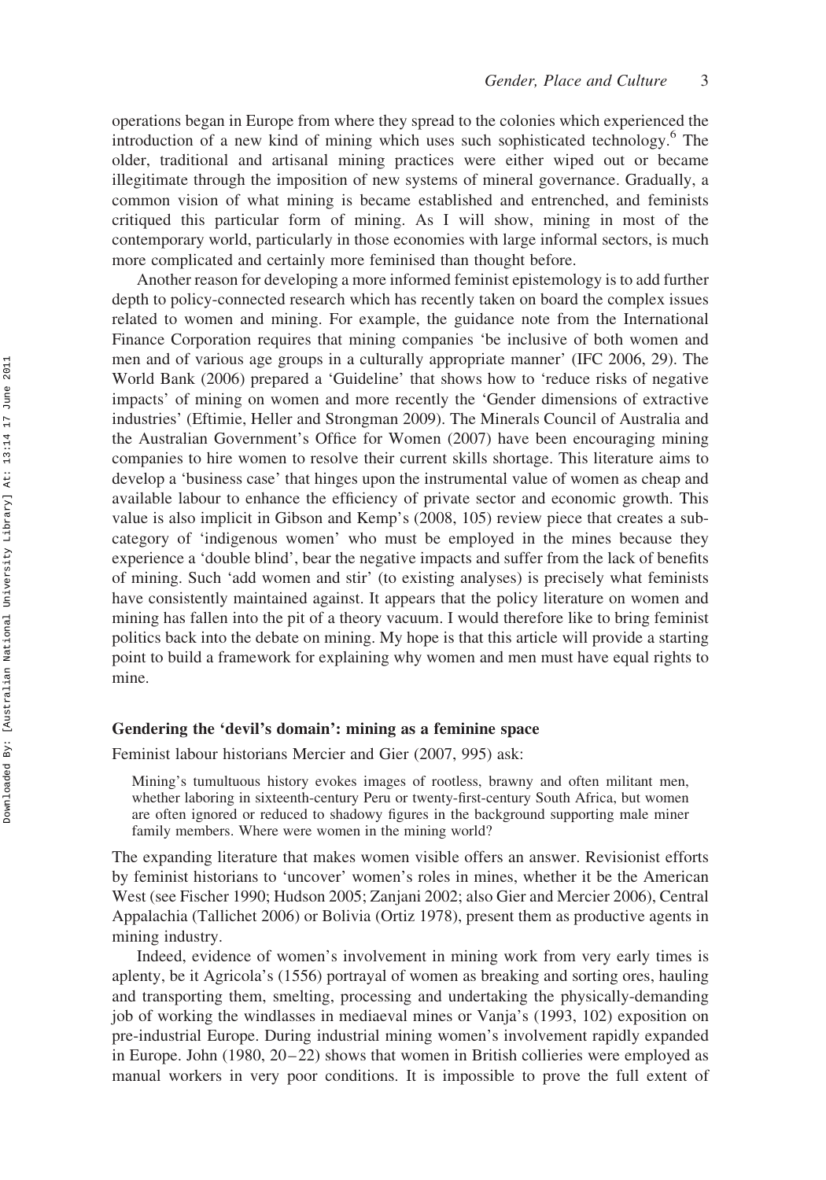operations began in Europe from where they spread to the colonies which experienced the introduction of a new kind of mining which uses such sophisticated technology.<sup>6</sup> The older, traditional and artisanal mining practices were either wiped out or became illegitimate through the imposition of new systems of mineral governance. Gradually, a common vision of what mining is became established and entrenched, and feminists critiqued this particular form of mining. As I will show, mining in most of the contemporary world, particularly in those economies with large informal sectors, is much more complicated and certainly more feminised than thought before.

Another reason for developing a more informed feminist epistemology is to add further depth to policy-connected research which has recently taken on board the complex issues related to women and mining. For example, the guidance note from the International Finance Corporation requires that mining companies 'be inclusive of both women and men and of various age groups in a culturally appropriate manner' (IFC 2006, 29). The World Bank (2006) prepared a 'Guideline' that shows how to 'reduce risks of negative impacts' of mining on women and more recently the 'Gender dimensions of extractive industries' (Eftimie, Heller and Strongman 2009). The Minerals Council of Australia and the Australian Government's Office for Women (2007) have been encouraging mining companies to hire women to resolve their current skills shortage. This literature aims to develop a 'business case' that hinges upon the instrumental value of women as cheap and available labour to enhance the efficiency of private sector and economic growth. This value is also implicit in Gibson and Kemp's (2008, 105) review piece that creates a subcategory of 'indigenous women' who must be employed in the mines because they experience a 'double blind', bear the negative impacts and suffer from the lack of benefits of mining. Such 'add women and stir' (to existing analyses) is precisely what feminists have consistently maintained against. It appears that the policy literature on women and mining has fallen into the pit of a theory vacuum. I would therefore like to bring feminist politics back into the debate on mining. My hope is that this article will provide a starting point to build a framework for explaining why women and men must have equal rights to mine.

## Gendering the 'devil's domain': mining as a feminine space

Feminist labour historians Mercier and Gier (2007, 995) ask:

Mining's tumultuous history evokes images of rootless, brawny and often militant men, whether laboring in sixteenth-century Peru or twenty-first-century South Africa, but women are often ignored or reduced to shadowy figures in the background supporting male miner family members. Where were women in the mining world?

The expanding literature that makes women visible offers an answer. Revisionist efforts by feminist historians to 'uncover' women's roles in mines, whether it be the American West (see Fischer 1990; Hudson 2005; Zanjani 2002; also Gier and Mercier 2006), Central Appalachia (Tallichet 2006) or Bolivia (Ortiz 1978), present them as productive agents in mining industry.

Indeed, evidence of women's involvement in mining work from very early times is aplenty, be it Agricola's (1556) portrayal of women as breaking and sorting ores, hauling and transporting them, smelting, processing and undertaking the physically-demanding job of working the windlasses in mediaeval mines or Vanja's (1993, 102) exposition on pre-industrial Europe. During industrial mining women's involvement rapidly expanded in Europe. John (1980, 20–22) shows that women in British collieries were employed as manual workers in very poor conditions. It is impossible to prove the full extent of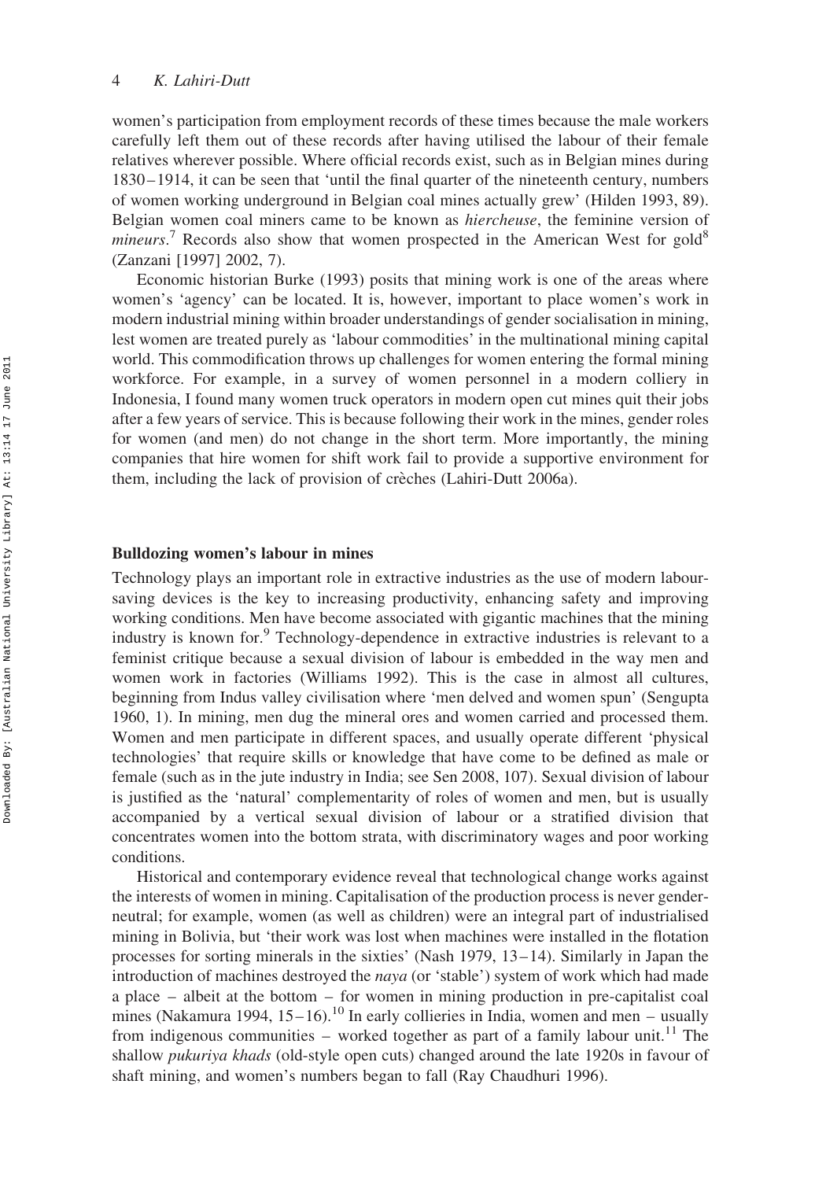women's participation from employment records of these times because the male workers carefully left them out of these records after having utilised the labour of their female relatives wherever possible. Where official records exist, such as in Belgian mines during 1830–1914, it can be seen that 'until the final quarter of the nineteenth century, numbers of women working underground in Belgian coal mines actually grew' (Hilden 1993, 89). Belgian women coal miners came to be known as hiercheuse, the feminine version of  $mineurs$ .<sup>7</sup> Records also show that women prospected in the American West for gold<sup>8</sup> (Zanzani [1997] 2002, 7).

Economic historian Burke (1993) posits that mining work is one of the areas where women's 'agency' can be located. It is, however, important to place women's work in modern industrial mining within broader understandings of gender socialisation in mining, lest women are treated purely as 'labour commodities' in the multinational mining capital world. This commodification throws up challenges for women entering the formal mining workforce. For example, in a survey of women personnel in a modern colliery in Indonesia, I found many women truck operators in modern open cut mines quit their jobs after a few years of service. This is because following their work in the mines, gender roles for women (and men) do not change in the short term. More importantly, the mining companies that hire women for shift work fail to provide a supportive environment for them, including the lack of provision of crèches (Lahiri-Dutt 2006a).

#### Bulldozing women's labour in mines

Technology plays an important role in extractive industries as the use of modern laboursaving devices is the key to increasing productivity, enhancing safety and improving working conditions. Men have become associated with gigantic machines that the mining industry is known for.<sup>9</sup> Technology-dependence in extractive industries is relevant to a feminist critique because a sexual division of labour is embedded in the way men and women work in factories (Williams 1992). This is the case in almost all cultures, beginning from Indus valley civilisation where 'men delved and women spun' (Sengupta 1960, 1). In mining, men dug the mineral ores and women carried and processed them. Women and men participate in different spaces, and usually operate different 'physical technologies' that require skills or knowledge that have come to be defined as male or female (such as in the jute industry in India; see Sen 2008, 107). Sexual division of labour is justified as the 'natural' complementarity of roles of women and men, but is usually accompanied by a vertical sexual division of labour or a stratified division that concentrates women into the bottom strata, with discriminatory wages and poor working conditions.

Historical and contemporary evidence reveal that technological change works against the interests of women in mining. Capitalisation of the production process is never genderneutral; for example, women (as well as children) were an integral part of industrialised mining in Bolivia, but 'their work was lost when machines were installed in the flotation processes for sorting minerals in the sixties' (Nash 1979, 13–14). Similarly in Japan the introduction of machines destroyed the *naya* (or 'stable') system of work which had made a place – albeit at the bottom – for women in mining production in pre-capitalist coal mines (Nakamura 1994, 15–16).<sup>10</sup> In early collieries in India, women and men – usually from indigenous communities – worked together as part of a family labour unit.<sup>11</sup> The shallow pukuriya khads (old-style open cuts) changed around the late 1920s in favour of shaft mining, and women's numbers began to fall (Ray Chaudhuri 1996).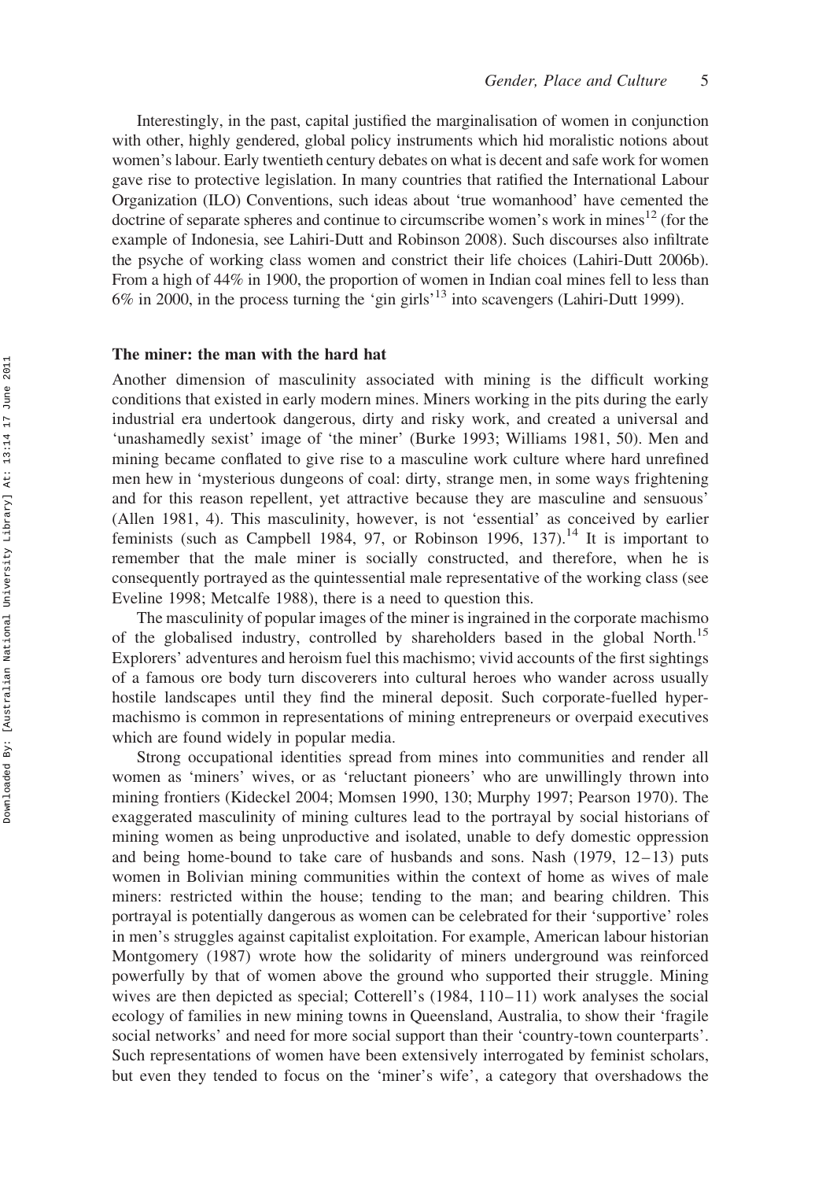Interestingly, in the past, capital justified the marginalisation of women in conjunction with other, highly gendered, global policy instruments which hid moralistic notions about women's labour. Early twentieth century debates on what is decent and safe work for women gave rise to protective legislation. In many countries that ratified the International Labour Organization (ILO) Conventions, such ideas about 'true womanhood' have cemented the doctrine of separate spheres and continue to circumscribe women's work in mines $12$  (for the example of Indonesia, see Lahiri-Dutt and Robinson 2008). Such discourses also infiltrate the psyche of working class women and constrict their life choices (Lahiri-Dutt 2006b). From a high of 44% in 1900, the proportion of women in Indian coal mines fell to less than 6% in 2000, in the process turning the 'gin girls'13 into scavengers (Lahiri-Dutt 1999).

## The miner: the man with the hard hat

Another dimension of masculinity associated with mining is the difficult working conditions that existed in early modern mines. Miners working in the pits during the early industrial era undertook dangerous, dirty and risky work, and created a universal and 'unashamedly sexist' image of 'the miner' (Burke 1993; Williams 1981, 50). Men and mining became conflated to give rise to a masculine work culture where hard unrefined men hew in 'mysterious dungeons of coal: dirty, strange men, in some ways frightening and for this reason repellent, yet attractive because they are masculine and sensuous' (Allen 1981, 4). This masculinity, however, is not 'essential' as conceived by earlier feminists (such as Campbell 1984, 97, or Robinson 1996,  $137$ ).<sup>14</sup> It is important to remember that the male miner is socially constructed, and therefore, when he is consequently portrayed as the quintessential male representative of the working class (see Eveline 1998; Metcalfe 1988), there is a need to question this.

The masculinity of popular images of the miner is ingrained in the corporate machismo of the globalised industry, controlled by shareholders based in the global North.<sup>15</sup> Explorers' adventures and heroism fuel this machismo; vivid accounts of the first sightings of a famous ore body turn discoverers into cultural heroes who wander across usually hostile landscapes until they find the mineral deposit. Such corporate-fuelled hypermachismo is common in representations of mining entrepreneurs or overpaid executives which are found widely in popular media.

Strong occupational identities spread from mines into communities and render all women as 'miners' wives, or as 'reluctant pioneers' who are unwillingly thrown into mining frontiers (Kideckel 2004; Momsen 1990, 130; Murphy 1997; Pearson 1970). The exaggerated masculinity of mining cultures lead to the portrayal by social historians of mining women as being unproductive and isolated, unable to defy domestic oppression and being home-bound to take care of husbands and sons. Nash  $(1979, 12-13)$  puts women in Bolivian mining communities within the context of home as wives of male miners: restricted within the house; tending to the man; and bearing children. This portrayal is potentially dangerous as women can be celebrated for their 'supportive' roles in men's struggles against capitalist exploitation. For example, American labour historian Montgomery (1987) wrote how the solidarity of miners underground was reinforced powerfully by that of women above the ground who supported their struggle. Mining wives are then depicted as special; Cotterell's  $(1984, 110-11)$  work analyses the social ecology of families in new mining towns in Queensland, Australia, to show their 'fragile social networks' and need for more social support than their 'country-town counterparts'. Such representations of women have been extensively interrogated by feminist scholars, but even they tended to focus on the 'miner's wife', a category that overshadows the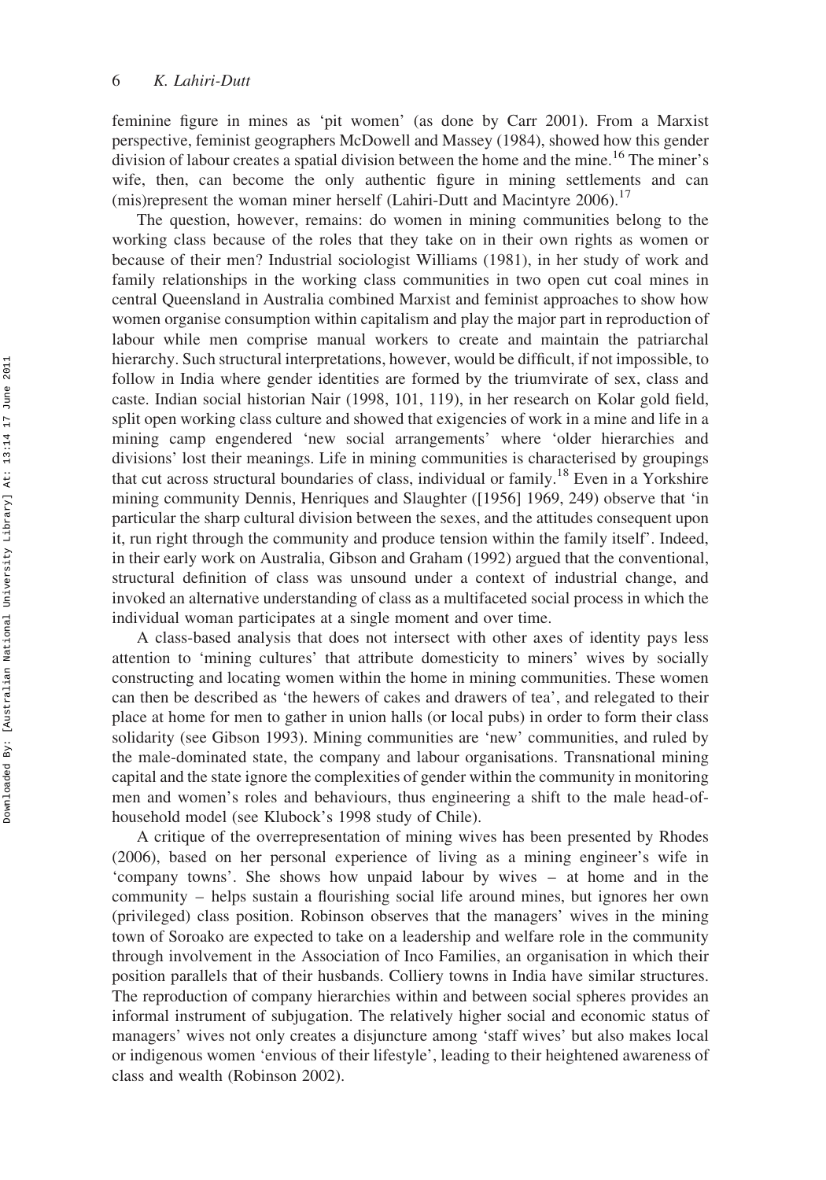feminine figure in mines as 'pit women' (as done by Carr 2001). From a Marxist perspective, feminist geographers McDowell and Massey (1984), showed how this gender division of labour creates a spatial division between the home and the mine.<sup>16</sup> The miner's wife, then, can become the only authentic figure in mining settlements and can (mis)represent the woman miner herself (Lahiri-Dutt and Macintyre 2006).<sup>17</sup>

The question, however, remains: do women in mining communities belong to the working class because of the roles that they take on in their own rights as women or because of their men? Industrial sociologist Williams (1981), in her study of work and family relationships in the working class communities in two open cut coal mines in central Queensland in Australia combined Marxist and feminist approaches to show how women organise consumption within capitalism and play the major part in reproduction of labour while men comprise manual workers to create and maintain the patriarchal hierarchy. Such structural interpretations, however, would be difficult, if not impossible, to follow in India where gender identities are formed by the triumvirate of sex, class and caste. Indian social historian Nair (1998, 101, 119), in her research on Kolar gold field, split open working class culture and showed that exigencies of work in a mine and life in a mining camp engendered 'new social arrangements' where 'older hierarchies and divisions' lost their meanings. Life in mining communities is characterised by groupings that cut across structural boundaries of class, individual or family.<sup>18</sup> Even in a Yorkshire mining community Dennis, Henriques and Slaughter ([1956] 1969, 249) observe that 'in particular the sharp cultural division between the sexes, and the attitudes consequent upon it, run right through the community and produce tension within the family itself'. Indeed, in their early work on Australia, Gibson and Graham (1992) argued that the conventional, structural definition of class was unsound under a context of industrial change, and invoked an alternative understanding of class as a multifaceted social process in which the individual woman participates at a single moment and over time.

A class-based analysis that does not intersect with other axes of identity pays less attention to 'mining cultures' that attribute domesticity to miners' wives by socially constructing and locating women within the home in mining communities. These women can then be described as 'the hewers of cakes and drawers of tea', and relegated to their place at home for men to gather in union halls (or local pubs) in order to form their class solidarity (see Gibson 1993). Mining communities are 'new' communities, and ruled by the male-dominated state, the company and labour organisations. Transnational mining capital and the state ignore the complexities of gender within the community in monitoring men and women's roles and behaviours, thus engineering a shift to the male head-ofhousehold model (see Klubock's 1998 study of Chile).

A critique of the overrepresentation of mining wives has been presented by Rhodes (2006), based on her personal experience of living as a mining engineer's wife in 'company towns'. She shows how unpaid labour by wives – at home and in the community – helps sustain a flourishing social life around mines, but ignores her own (privileged) class position. Robinson observes that the managers' wives in the mining town of Soroako are expected to take on a leadership and welfare role in the community through involvement in the Association of Inco Families, an organisation in which their position parallels that of their husbands. Colliery towns in India have similar structures. The reproduction of company hierarchies within and between social spheres provides an informal instrument of subjugation. The relatively higher social and economic status of managers' wives not only creates a disjuncture among 'staff wives' but also makes local or indigenous women 'envious of their lifestyle', leading to their heightened awareness of class and wealth (Robinson 2002).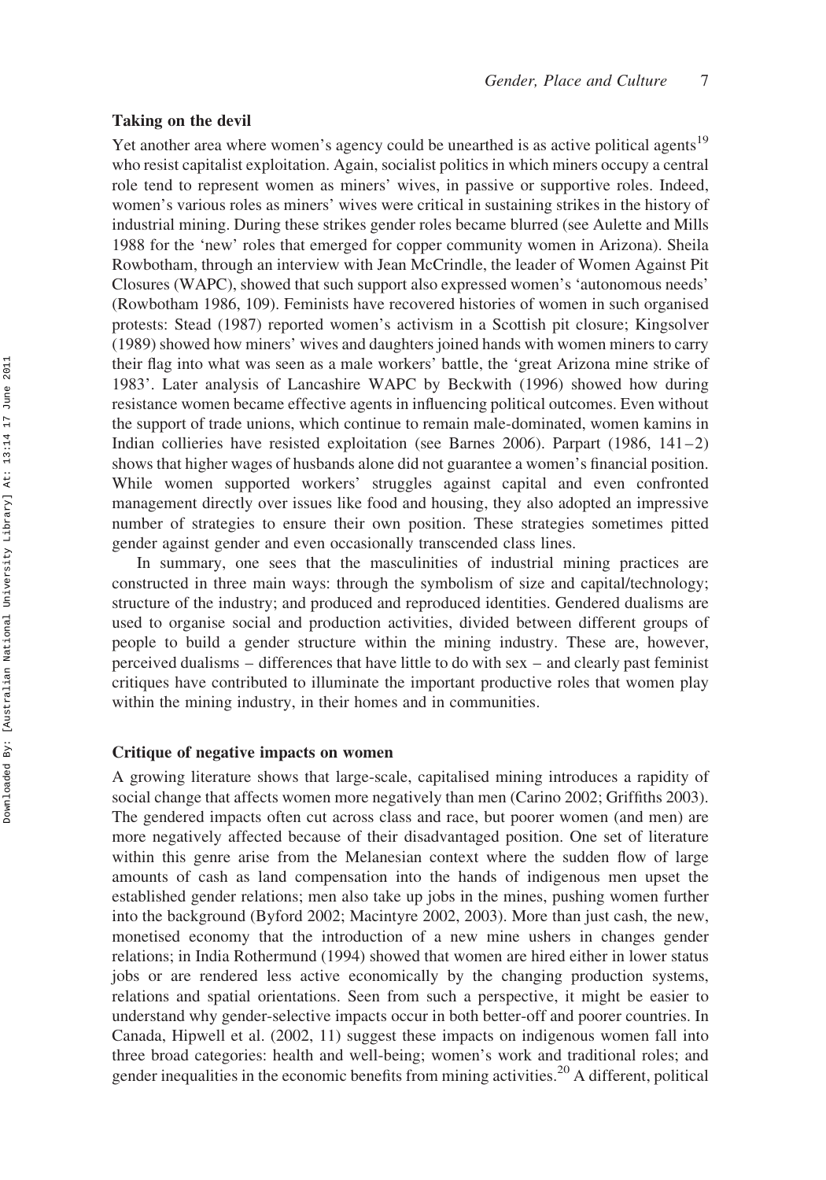#### Taking on the devil

Yet another area where women's agency could be unearthed is as active political agents<sup>19</sup> who resist capitalist exploitation. Again, socialist politics in which miners occupy a central role tend to represent women as miners' wives, in passive or supportive roles. Indeed, women's various roles as miners' wives were critical in sustaining strikes in the history of industrial mining. During these strikes gender roles became blurred (see Aulette and Mills 1988 for the 'new' roles that emerged for copper community women in Arizona). Sheila Rowbotham, through an interview with Jean McCrindle, the leader of Women Against Pit Closures (WAPC), showed that such support also expressed women's 'autonomous needs' (Rowbotham 1986, 109). Feminists have recovered histories of women in such organised protests: Stead (1987) reported women's activism in a Scottish pit closure; Kingsolver (1989) showed how miners' wives and daughters joined hands with women miners to carry their flag into what was seen as a male workers' battle, the 'great Arizona mine strike of 1983'. Later analysis of Lancashire WAPC by Beckwith (1996) showed how during resistance women became effective agents in influencing political outcomes. Even without the support of trade unions, which continue to remain male-dominated, women kamins in Indian collieries have resisted exploitation (see Barnes 2006). Parpart (1986, 141–2) shows that higher wages of husbands alone did not guarantee a women's financial position. While women supported workers' struggles against capital and even confronted management directly over issues like food and housing, they also adopted an impressive number of strategies to ensure their own position. These strategies sometimes pitted gender against gender and even occasionally transcended class lines.

In summary, one sees that the masculinities of industrial mining practices are constructed in three main ways: through the symbolism of size and capital/technology; structure of the industry; and produced and reproduced identities. Gendered dualisms are used to organise social and production activities, divided between different groups of people to build a gender structure within the mining industry. These are, however, perceived dualisms – differences that have little to do with sex – and clearly past feminist critiques have contributed to illuminate the important productive roles that women play within the mining industry, in their homes and in communities.

#### Critique of negative impacts on women

A growing literature shows that large-scale, capitalised mining introduces a rapidity of social change that affects women more negatively than men (Carino 2002; Griffiths 2003). The gendered impacts often cut across class and race, but poorer women (and men) are more negatively affected because of their disadvantaged position. One set of literature within this genre arise from the Melanesian context where the sudden flow of large amounts of cash as land compensation into the hands of indigenous men upset the established gender relations; men also take up jobs in the mines, pushing women further into the background (Byford 2002; Macintyre 2002, 2003). More than just cash, the new, monetised economy that the introduction of a new mine ushers in changes gender relations; in India Rothermund (1994) showed that women are hired either in lower status jobs or are rendered less active economically by the changing production systems, relations and spatial orientations. Seen from such a perspective, it might be easier to understand why gender-selective impacts occur in both better-off and poorer countries. In Canada, Hipwell et al. (2002, 11) suggest these impacts on indigenous women fall into three broad categories: health and well-being; women's work and traditional roles; and gender inequalities in the economic benefits from mining activities.<sup>20</sup> A different, political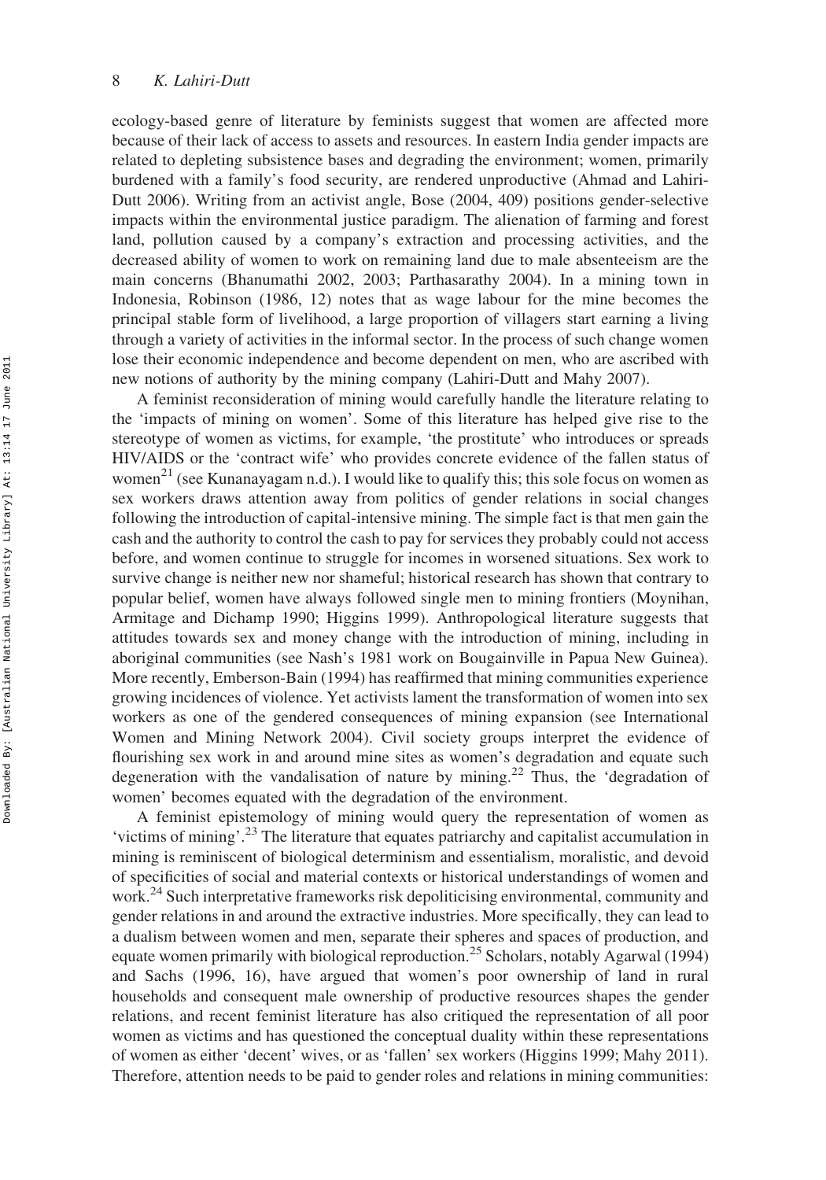ecology-based genre of literature by feminists suggest that women are affected more because of their lack of access to assets and resources. In eastern India gender impacts are related to depleting subsistence bases and degrading the environment; women, primarily burdened with a family's food security, are rendered unproductive (Ahmad and Lahiri-Dutt 2006). Writing from an activist angle, Bose (2004, 409) positions gender-selective impacts within the environmental justice paradigm. The alienation of farming and forest land, pollution caused by a company's extraction and processing activities, and the decreased ability of women to work on remaining land due to male absenteeism are the main concerns (Bhanumathi 2002, 2003; Parthasarathy 2004). In a mining town in Indonesia, Robinson (1986, 12) notes that as wage labour for the mine becomes the principal stable form of livelihood, a large proportion of villagers start earning a living through a variety of activities in the informal sector. In the process of such change women lose their economic independence and become dependent on men, who are ascribed with new notions of authority by the mining company (Lahiri-Dutt and Mahy 2007).

A feminist reconsideration of mining would carefully handle the literature relating to the 'impacts of mining on women'. Some of this literature has helped give rise to the stereotype of women as victims, for example, 'the prostitute' who introduces or spreads HIV/AIDS or the 'contract wife' who provides concrete evidence of the fallen status of women<sup>21</sup> (see Kunanayagam n.d.). I would like to qualify this; this sole focus on women as sex workers draws attention away from politics of gender relations in social changes following the introduction of capital-intensive mining. The simple fact is that men gain the cash and the authority to control the cash to pay for services they probably could not access before, and women continue to struggle for incomes in worsened situations. Sex work to survive change is neither new nor shameful; historical research has shown that contrary to popular belief, women have always followed single men to mining frontiers (Moynihan, Armitage and Dichamp 1990; Higgins 1999). Anthropological literature suggests that attitudes towards sex and money change with the introduction of mining, including in aboriginal communities (see Nash's 1981 work on Bougainville in Papua New Guinea). More recently, Emberson-Bain (1994) has reaffirmed that mining communities experience growing incidences of violence. Yet activists lament the transformation of women into sex workers as one of the gendered consequences of mining expansion (see International Women and Mining Network 2004). Civil society groups interpret the evidence of flourishing sex work in and around mine sites as women's degradation and equate such degeneration with the vandalisation of nature by mining.<sup>22</sup> Thus, the 'degradation of women' becomes equated with the degradation of the environment.

A feminist epistemology of mining would query the representation of women as 'victims of mining'.23 The literature that equates patriarchy and capitalist accumulation in mining is reminiscent of biological determinism and essentialism, moralistic, and devoid of specificities of social and material contexts or historical understandings of women and work.<sup>24</sup> Such interpretative frameworks risk depoliticising environmental, community and gender relations in and around the extractive industries. More specifically, they can lead to a dualism between women and men, separate their spheres and spaces of production, and equate women primarily with biological reproduction.25 Scholars, notably Agarwal (1994) and Sachs (1996, 16), have argued that women's poor ownership of land in rural households and consequent male ownership of productive resources shapes the gender relations, and recent feminist literature has also critiqued the representation of all poor women as victims and has questioned the conceptual duality within these representations of women as either 'decent' wives, or as 'fallen' sex workers (Higgins 1999; Mahy 2011). Therefore, attention needs to be paid to gender roles and relations in mining communities: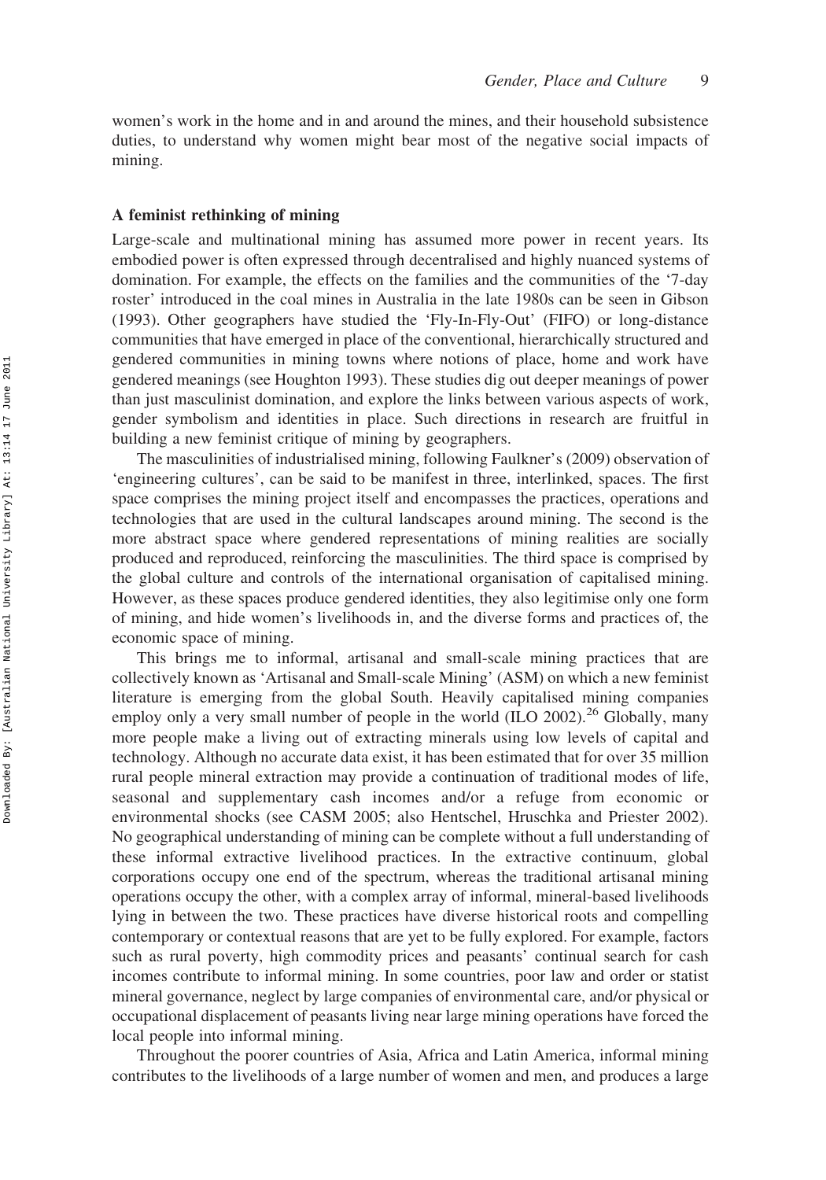women's work in the home and in and around the mines, and their household subsistence duties, to understand why women might bear most of the negative social impacts of mining.

#### A feminist rethinking of mining

Large-scale and multinational mining has assumed more power in recent years. Its embodied power is often expressed through decentralised and highly nuanced systems of domination. For example, the effects on the families and the communities of the '7-day roster' introduced in the coal mines in Australia in the late 1980s can be seen in Gibson (1993). Other geographers have studied the 'Fly-In-Fly-Out' (FIFO) or long-distance communities that have emerged in place of the conventional, hierarchically structured and gendered communities in mining towns where notions of place, home and work have gendered meanings (see Houghton 1993). These studies dig out deeper meanings of power than just masculinist domination, and explore the links between various aspects of work, gender symbolism and identities in place. Such directions in research are fruitful in building a new feminist critique of mining by geographers.

The masculinities of industrialised mining, following Faulkner's (2009) observation of 'engineering cultures', can be said to be manifest in three, interlinked, spaces. The first space comprises the mining project itself and encompasses the practices, operations and technologies that are used in the cultural landscapes around mining. The second is the more abstract space where gendered representations of mining realities are socially produced and reproduced, reinforcing the masculinities. The third space is comprised by the global culture and controls of the international organisation of capitalised mining. However, as these spaces produce gendered identities, they also legitimise only one form of mining, and hide women's livelihoods in, and the diverse forms and practices of, the economic space of mining.

This brings me to informal, artisanal and small-scale mining practices that are collectively known as 'Artisanal and Small-scale Mining' (ASM) on which a new feminist literature is emerging from the global South. Heavily capitalised mining companies employ only a very small number of people in the world (ILO 2002).<sup>26</sup> Globally, many more people make a living out of extracting minerals using low levels of capital and technology. Although no accurate data exist, it has been estimated that for over 35 million rural people mineral extraction may provide a continuation of traditional modes of life, seasonal and supplementary cash incomes and/or a refuge from economic or environmental shocks (see CASM 2005; also Hentschel, Hruschka and Priester 2002). No geographical understanding of mining can be complete without a full understanding of these informal extractive livelihood practices. In the extractive continuum, global corporations occupy one end of the spectrum, whereas the traditional artisanal mining operations occupy the other, with a complex array of informal, mineral-based livelihoods lying in between the two. These practices have diverse historical roots and compelling contemporary or contextual reasons that are yet to be fully explored. For example, factors such as rural poverty, high commodity prices and peasants' continual search for cash incomes contribute to informal mining. In some countries, poor law and order or statist mineral governance, neglect by large companies of environmental care, and/or physical or occupational displacement of peasants living near large mining operations have forced the local people into informal mining.

Throughout the poorer countries of Asia, Africa and Latin America, informal mining contributes to the livelihoods of a large number of women and men, and produces a large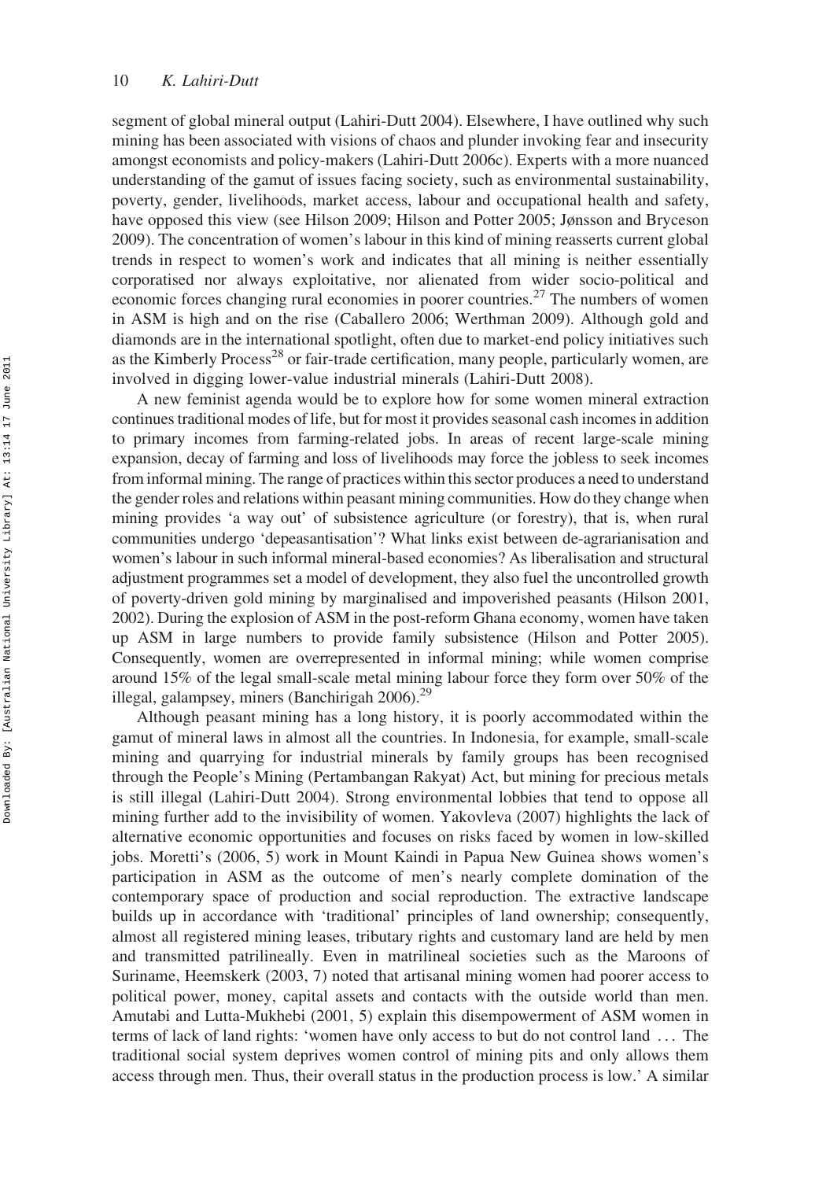segment of global mineral output (Lahiri-Dutt 2004). Elsewhere, I have outlined why such mining has been associated with visions of chaos and plunder invoking fear and insecurity amongst economists and policy-makers (Lahiri-Dutt 2006c). Experts with a more nuanced understanding of the gamut of issues facing society, such as environmental sustainability, poverty, gender, livelihoods, market access, labour and occupational health and safety, have opposed this view (see Hilson 2009; Hilson and Potter 2005; Jønsson and Bryceson 2009). The concentration of women's labour in this kind of mining reasserts current global trends in respect to women's work and indicates that all mining is neither essentially corporatised nor always exploitative, nor alienated from wider socio-political and economic forces changing rural economies in poorer countries.<sup>27</sup> The numbers of women in ASM is high and on the rise (Caballero 2006; Werthman 2009). Although gold and diamonds are in the international spotlight, often due to market-end policy initiatives such as the Kimberly Process<sup>28</sup> or fair-trade certification, many people, particularly women, are involved in digging lower-value industrial minerals (Lahiri-Dutt 2008).

A new feminist agenda would be to explore how for some women mineral extraction continues traditional modes of life, but for most it provides seasonal cash incomes in addition to primary incomes from farming-related jobs. In areas of recent large-scale mining expansion, decay of farming and loss of livelihoods may force the jobless to seek incomes from informal mining. The range of practices within this sector produces a need to understand the gender roles and relations within peasant mining communities. How do they change when mining provides 'a way out' of subsistence agriculture (or forestry), that is, when rural communities undergo 'depeasantisation'? What links exist between de-agrarianisation and women's labour in such informal mineral-based economies? As liberalisation and structural adjustment programmes set a model of development, they also fuel the uncontrolled growth of poverty-driven gold mining by marginalised and impoverished peasants (Hilson 2001, 2002). During the explosion of ASM in the post-reform Ghana economy, women have taken up ASM in large numbers to provide family subsistence (Hilson and Potter 2005). Consequently, women are overrepresented in informal mining; while women comprise around 15% of the legal small-scale metal mining labour force they form over 50% of the illegal, galampsey, miners (Banchirigah 2006).<sup>29</sup>

Although peasant mining has a long history, it is poorly accommodated within the gamut of mineral laws in almost all the countries. In Indonesia, for example, small-scale mining and quarrying for industrial minerals by family groups has been recognised through the People's Mining (Pertambangan Rakyat) Act, but mining for precious metals is still illegal (Lahiri-Dutt 2004). Strong environmental lobbies that tend to oppose all mining further add to the invisibility of women. Yakovleva (2007) highlights the lack of alternative economic opportunities and focuses on risks faced by women in low-skilled jobs. Moretti's (2006, 5) work in Mount Kaindi in Papua New Guinea shows women's participation in ASM as the outcome of men's nearly complete domination of the contemporary space of production and social reproduction. The extractive landscape builds up in accordance with 'traditional' principles of land ownership; consequently, almost all registered mining leases, tributary rights and customary land are held by men and transmitted patrilineally. Even in matrilineal societies such as the Maroons of Suriname, Heemskerk (2003, 7) noted that artisanal mining women had poorer access to political power, money, capital assets and contacts with the outside world than men. Amutabi and Lutta-Mukhebi (2001, 5) explain this disempowerment of ASM women in terms of lack of land rights: 'women have only access to but do not control land ... The traditional social system deprives women control of mining pits and only allows them access through men. Thus, their overall status in the production process is low.' A similar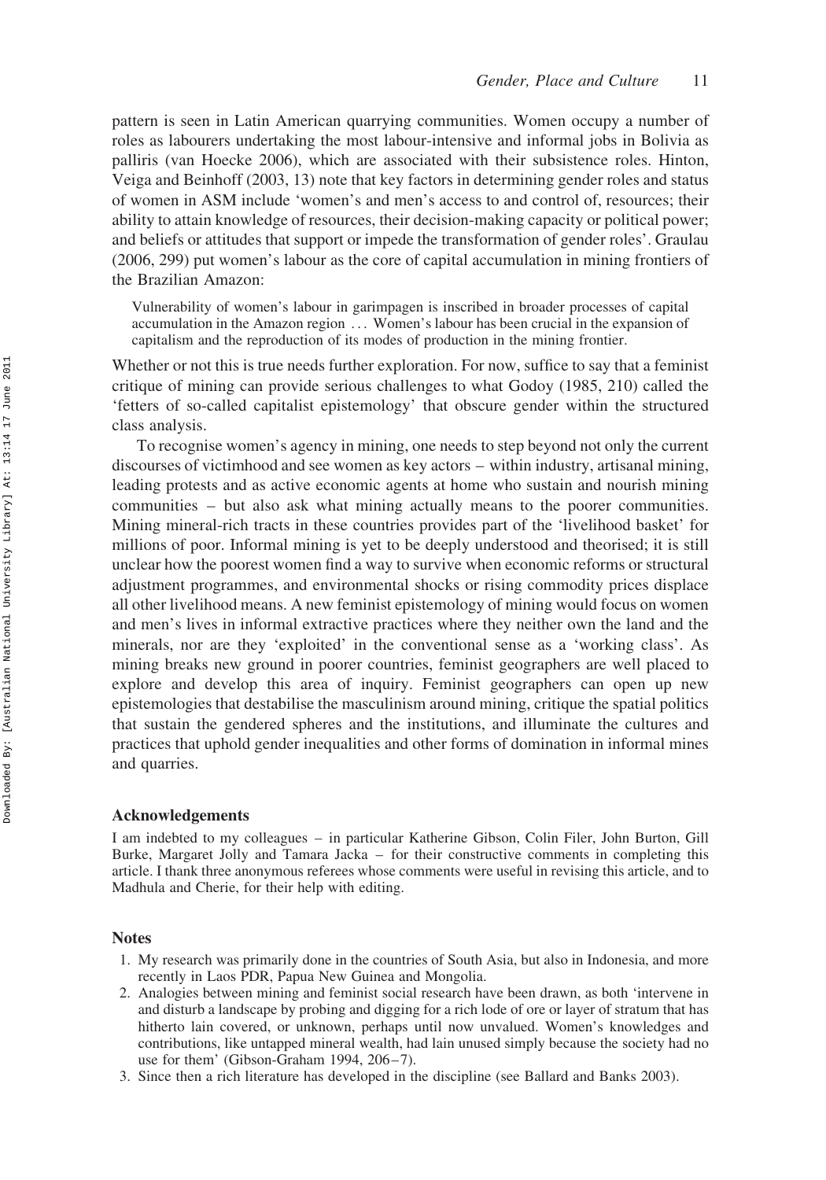pattern is seen in Latin American quarrying communities. Women occupy a number of roles as labourers undertaking the most labour-intensive and informal jobs in Bolivia as palliris (van Hoecke 2006), which are associated with their subsistence roles. Hinton, Veiga and Beinhoff (2003, 13) note that key factors in determining gender roles and status of women in ASM include 'women's and men's access to and control of, resources; their ability to attain knowledge of resources, their decision-making capacity or political power; and beliefs or attitudes that support or impede the transformation of gender roles'. Graulau (2006, 299) put women's labour as the core of capital accumulation in mining frontiers of the Brazilian Amazon:

Vulnerability of women's labour in garimpagen is inscribed in broader processes of capital accumulation in the Amazon region ... Women's labour has been crucial in the expansion of capitalism and the reproduction of its modes of production in the mining frontier.

Whether or not this is true needs further exploration. For now, suffice to say that a feminist critique of mining can provide serious challenges to what Godoy (1985, 210) called the 'fetters of so-called capitalist epistemology' that obscure gender within the structured class analysis.

To recognise women's agency in mining, one needs to step beyond not only the current discourses of victimhood and see women as key actors – within industry, artisanal mining, leading protests and as active economic agents at home who sustain and nourish mining communities – but also ask what mining actually means to the poorer communities. Mining mineral-rich tracts in these countries provides part of the 'livelihood basket' for millions of poor. Informal mining is yet to be deeply understood and theorised; it is still unclear how the poorest women find a way to survive when economic reforms or structural adjustment programmes, and environmental shocks or rising commodity prices displace all other livelihood means. A new feminist epistemology of mining would focus on women and men's lives in informal extractive practices where they neither own the land and the minerals, nor are they 'exploited' in the conventional sense as a 'working class'. As mining breaks new ground in poorer countries, feminist geographers are well placed to explore and develop this area of inquiry. Feminist geographers can open up new epistemologies that destabilise the masculinism around mining, critique the spatial politics that sustain the gendered spheres and the institutions, and illuminate the cultures and practices that uphold gender inequalities and other forms of domination in informal mines and quarries.

#### Acknowledgements

I am indebted to my colleagues – in particular Katherine Gibson, Colin Filer, John Burton, Gill Burke, Margaret Jolly and Tamara Jacka – for their constructive comments in completing this article. I thank three anonymous referees whose comments were useful in revising this article, and to Madhula and Cherie, for their help with editing.

#### Notes

- 1. My research was primarily done in the countries of South Asia, but also in Indonesia, and more recently in Laos PDR, Papua New Guinea and Mongolia.
- 2. Analogies between mining and feminist social research have been drawn, as both 'intervene in and disturb a landscape by probing and digging for a rich lode of ore or layer of stratum that has hitherto lain covered, or unknown, perhaps until now unvalued. Women's knowledges and contributions, like untapped mineral wealth, had lain unused simply because the society had no use for them' (Gibson-Graham 1994, 206–7).
- 3. Since then a rich literature has developed in the discipline (see Ballard and Banks 2003).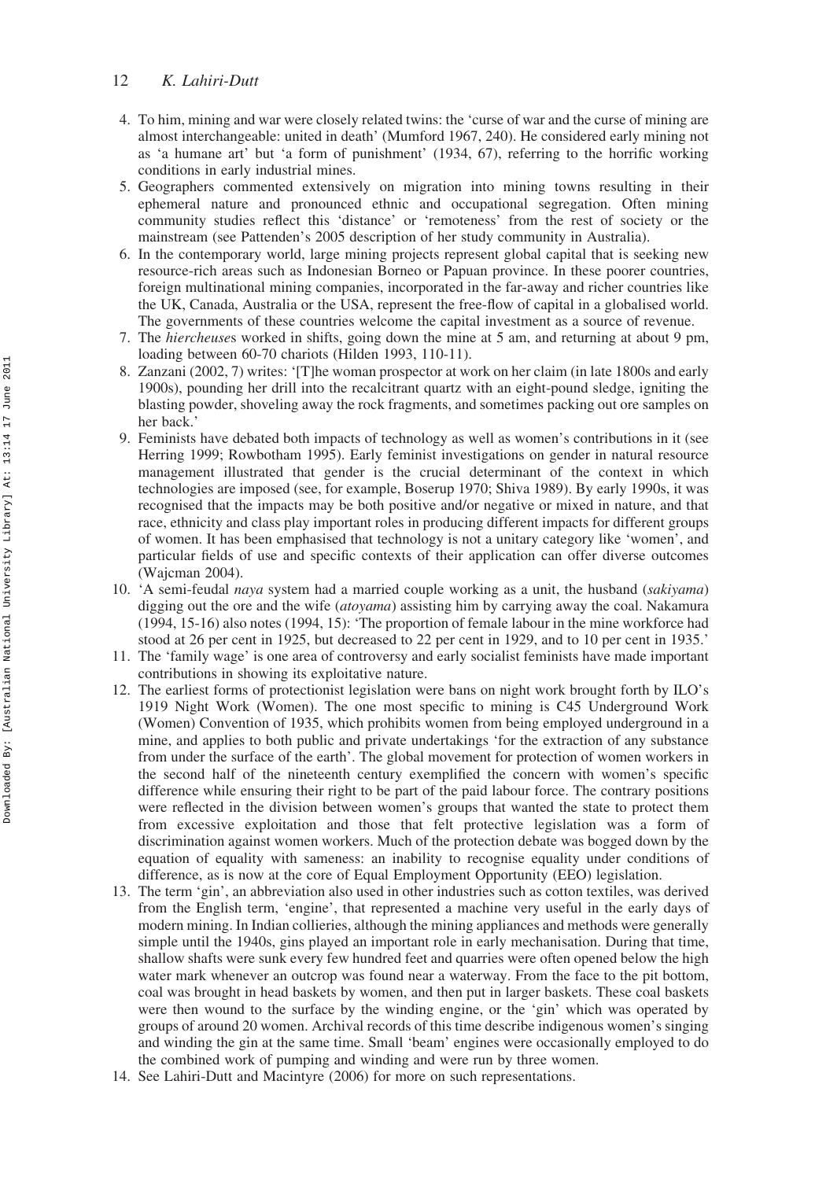### 12 K. Lahiri-Dutt

- 4. To him, mining and war were closely related twins: the 'curse of war and the curse of mining are almost interchangeable: united in death' (Mumford 1967, 240). He considered early mining not as 'a humane art' but 'a form of punishment' (1934, 67), referring to the horrific working conditions in early industrial mines.
- 5. Geographers commented extensively on migration into mining towns resulting in their ephemeral nature and pronounced ethnic and occupational segregation. Often mining community studies reflect this 'distance' or 'remoteness' from the rest of society or the mainstream (see Pattenden's 2005 description of her study community in Australia).
- 6. In the contemporary world, large mining projects represent global capital that is seeking new resource-rich areas such as Indonesian Borneo or Papuan province. In these poorer countries, foreign multinational mining companies, incorporated in the far-away and richer countries like the UK, Canada, Australia or the USA, represent the free-flow of capital in a globalised world. The governments of these countries welcome the capital investment as a source of revenue.
- 7. The hiercheuses worked in shifts, going down the mine at 5 am, and returning at about 9 pm, loading between 60-70 chariots (Hilden 1993, 110-11).
- 8. Zanzani (2002, 7) writes: '[T]he woman prospector at work on her claim (in late 1800s and early 1900s), pounding her drill into the recalcitrant quartz with an eight-pound sledge, igniting the blasting powder, shoveling away the rock fragments, and sometimes packing out ore samples on her back.'
- 9. Feminists have debated both impacts of technology as well as women's contributions in it (see Herring 1999; Rowbotham 1995). Early feminist investigations on gender in natural resource management illustrated that gender is the crucial determinant of the context in which technologies are imposed (see, for example, Boserup 1970; Shiva 1989). By early 1990s, it was recognised that the impacts may be both positive and/or negative or mixed in nature, and that race, ethnicity and class play important roles in producing different impacts for different groups of women. It has been emphasised that technology is not a unitary category like 'women', and particular fields of use and specific contexts of their application can offer diverse outcomes (Wajcman 2004).
- 10. 'A semi-feudal naya system had a married couple working as a unit, the husband (sakiyama) digging out the ore and the wife ( $atoyama$ ) assisting him by carrying away the coal. Nakamura (1994, 15-16) also notes (1994, 15): 'The proportion of female labour in the mine workforce had stood at 26 per cent in 1925, but decreased to 22 per cent in 1929, and to 10 per cent in 1935.'
- 11. The 'family wage' is one area of controversy and early socialist feminists have made important contributions in showing its exploitative nature.
- 12. The earliest forms of protectionist legislation were bans on night work brought forth by ILO's 1919 Night Work (Women). The one most specific to mining is C45 Underground Work (Women) Convention of 1935, which prohibits women from being employed underground in a mine, and applies to both public and private undertakings 'for the extraction of any substance from under the surface of the earth'. The global movement for protection of women workers in the second half of the nineteenth century exemplified the concern with women's specific difference while ensuring their right to be part of the paid labour force. The contrary positions were reflected in the division between women's groups that wanted the state to protect them from excessive exploitation and those that felt protective legislation was a form of discrimination against women workers. Much of the protection debate was bogged down by the equation of equality with sameness: an inability to recognise equality under conditions of difference, as is now at the core of Equal Employment Opportunity (EEO) legislation.
- 13. The term 'gin', an abbreviation also used in other industries such as cotton textiles, was derived from the English term, 'engine', that represented a machine very useful in the early days of modern mining. In Indian collieries, although the mining appliances and methods were generally simple until the 1940s, gins played an important role in early mechanisation. During that time, shallow shafts were sunk every few hundred feet and quarries were often opened below the high water mark whenever an outcrop was found near a waterway. From the face to the pit bottom, coal was brought in head baskets by women, and then put in larger baskets. These coal baskets were then wound to the surface by the winding engine, or the 'gin' which was operated by groups of around 20 women. Archival records of this time describe indigenous women's singing and winding the gin at the same time. Small 'beam' engines were occasionally employed to do the combined work of pumping and winding and were run by three women.
- 14. See Lahiri-Dutt and Macintyre (2006) for more on such representations.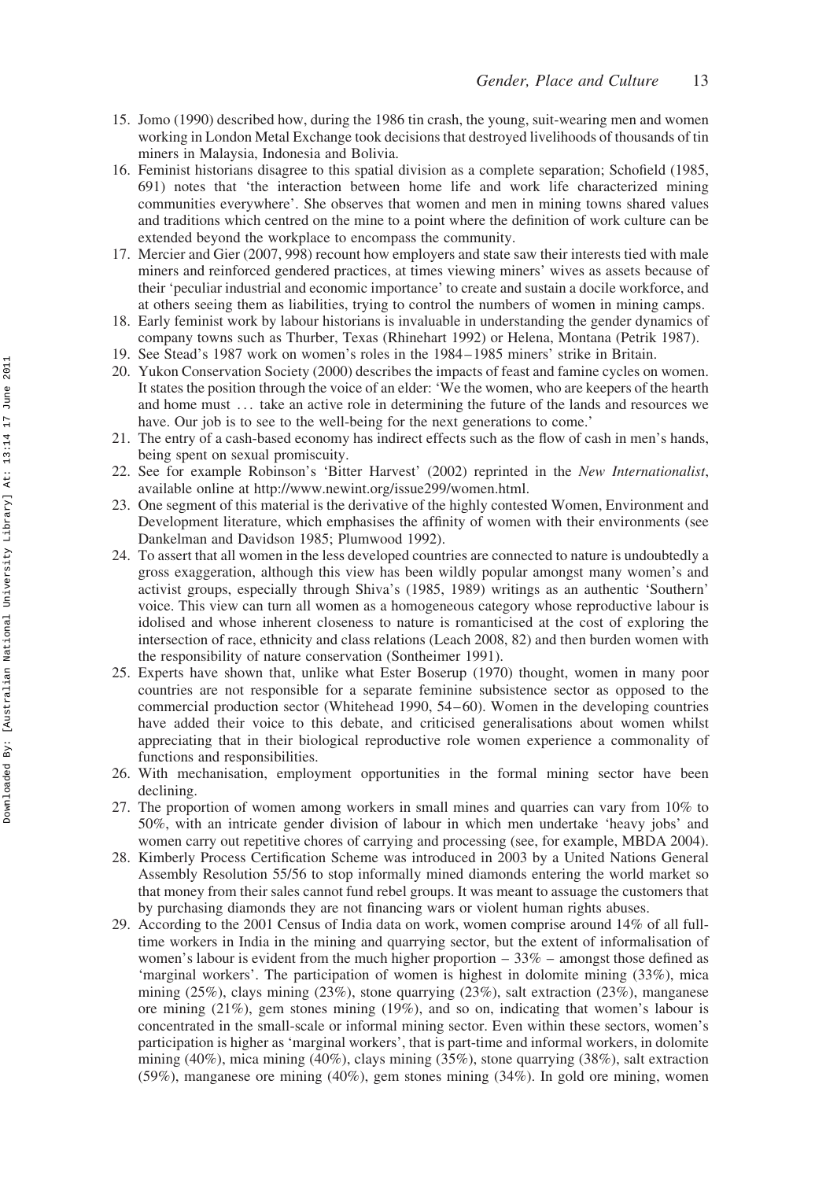- 15. Jomo (1990) described how, during the 1986 tin crash, the young, suit-wearing men and women working in London Metal Exchange took decisions that destroyed livelihoods of thousands of tin miners in Malaysia, Indonesia and Bolivia.
- 16. Feminist historians disagree to this spatial division as a complete separation; Schofield (1985, 691) notes that 'the interaction between home life and work life characterized mining communities everywhere'. She observes that women and men in mining towns shared values and traditions which centred on the mine to a point where the definition of work culture can be extended beyond the workplace to encompass the community.
- 17. Mercier and Gier (2007, 998) recount how employers and state saw their interests tied with male miners and reinforced gendered practices, at times viewing miners' wives as assets because of their 'peculiar industrial and economic importance' to create and sustain a docile workforce, and at others seeing them as liabilities, trying to control the numbers of women in mining camps.
- 18. Early feminist work by labour historians is invaluable in understanding the gender dynamics of company towns such as Thurber, Texas (Rhinehart 1992) or Helena, Montana (Petrik 1987).
- 19. See Stead's 1987 work on women's roles in the 1984–1985 miners' strike in Britain.
- 20. Yukon Conservation Society (2000) describes the impacts of feast and famine cycles on women. It states the position through the voice of an elder: 'We the women, who are keepers of the hearth and home must ... take an active role in determining the future of the lands and resources we have. Our job is to see to the well-being for the next generations to come.'
- 21. The entry of a cash-based economy has indirect effects such as the flow of cash in men's hands, being spent on sexual promiscuity.
- 22. See for example Robinson's 'Bitter Harvest' (2002) reprinted in the New Internationalist, available online at http://www.newint.org/issue299/women.html.
- 23. One segment of this material is the derivative of the highly contested Women, Environment and Development literature, which emphasises the affinity of women with their environments (see Dankelman and Davidson 1985; Plumwood 1992).
- 24. To assert that all women in the less developed countries are connected to nature is undoubtedly a gross exaggeration, although this view has been wildly popular amongst many women's and activist groups, especially through Shiva's (1985, 1989) writings as an authentic 'Southern' voice. This view can turn all women as a homogeneous category whose reproductive labour is idolised and whose inherent closeness to nature is romanticised at the cost of exploring the intersection of race, ethnicity and class relations (Leach 2008, 82) and then burden women with the responsibility of nature conservation (Sontheimer 1991).
- 25. Experts have shown that, unlike what Ester Boserup (1970) thought, women in many poor countries are not responsible for a separate feminine subsistence sector as opposed to the commercial production sector (Whitehead 1990, 54–60). Women in the developing countries have added their voice to this debate, and criticised generalisations about women whilst appreciating that in their biological reproductive role women experience a commonality of functions and responsibilities.
- 26. With mechanisation, employment opportunities in the formal mining sector have been declining.
- 27. The proportion of women among workers in small mines and quarries can vary from 10% to 50%, with an intricate gender division of labour in which men undertake 'heavy jobs' and women carry out repetitive chores of carrying and processing (see, for example, MBDA 2004).
- 28. Kimberly Process Certification Scheme was introduced in 2003 by a United Nations General Assembly Resolution 55/56 to stop informally mined diamonds entering the world market so that money from their sales cannot fund rebel groups. It was meant to assuage the customers that by purchasing diamonds they are not financing wars or violent human rights abuses.
- 29. According to the 2001 Census of India data on work, women comprise around 14% of all fulltime workers in India in the mining and quarrying sector, but the extent of informalisation of women's labour is evident from the much higher proportion  $-33\%$  – amongst those defined as 'marginal workers'. The participation of women is highest in dolomite mining (33%), mica mining (25%), clays mining (23%), stone quarrying (23%), salt extraction (23%), manganese ore mining (21%), gem stones mining (19%), and so on, indicating that women's labour is concentrated in the small-scale or informal mining sector. Even within these sectors, women's participation is higher as 'marginal workers', that is part-time and informal workers, in dolomite mining (40%), mica mining (40%), clays mining (35%), stone quarrying (38%), salt extraction (59%), manganese ore mining (40%), gem stones mining (34%). In gold ore mining, women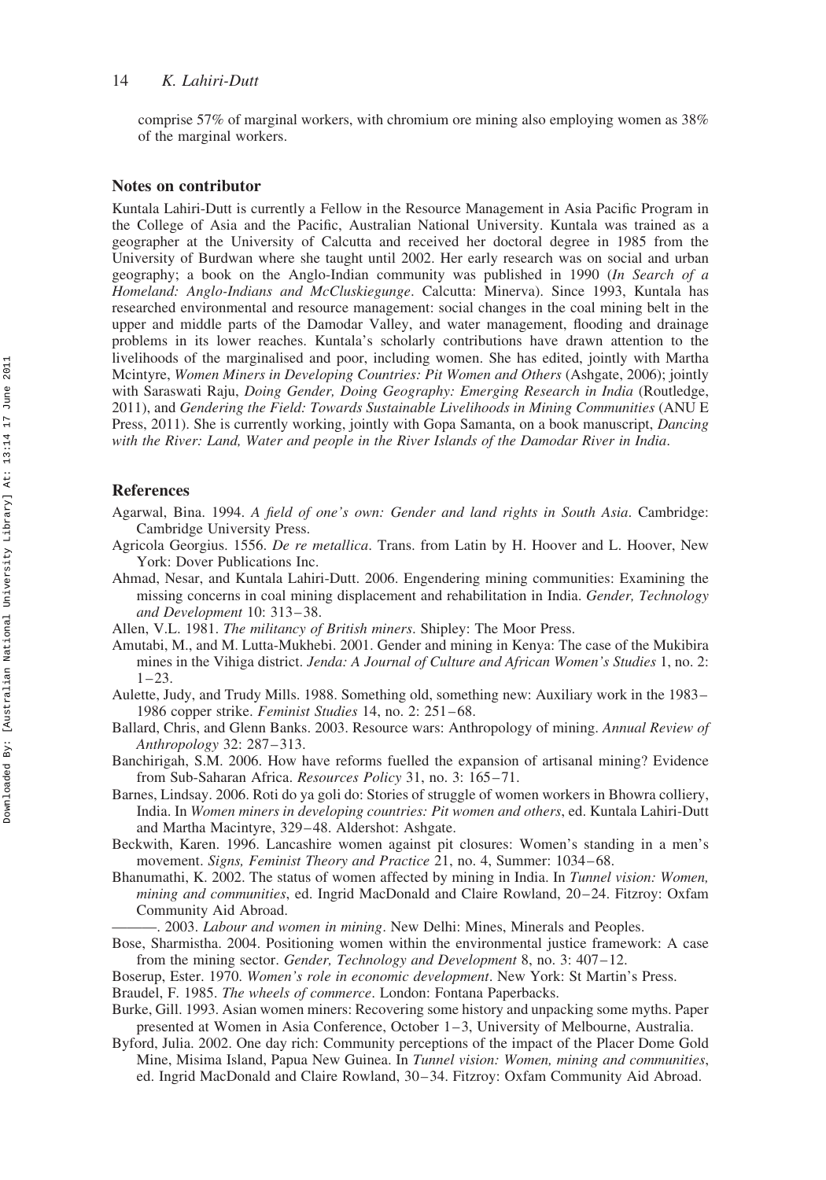#### 14 K. Lahiri-Dutt

comprise 57% of marginal workers, with chromium ore mining also employing women as 38% of the marginal workers.

#### Notes on contributor

Kuntala Lahiri-Dutt is currently a Fellow in the Resource Management in Asia Pacific Program in the College of Asia and the Pacific, Australian National University. Kuntala was trained as a geographer at the University of Calcutta and received her doctoral degree in 1985 from the University of Burdwan where she taught until 2002. Her early research was on social and urban geography; a book on the Anglo-Indian community was published in 1990 (In Search of a Homeland: Anglo-Indians and McCluskiegunge. Calcutta: Minerva). Since 1993, Kuntala has researched environmental and resource management: social changes in the coal mining belt in the upper and middle parts of the Damodar Valley, and water management, flooding and drainage problems in its lower reaches. Kuntala's scholarly contributions have drawn attention to the livelihoods of the marginalised and poor, including women. She has edited, jointly with Martha Mcintyre, Women Miners in Developing Countries: Pit Women and Others (Ashgate, 2006); jointly with Saraswati Raju, Doing Gender, Doing Geography: Emerging Research in India (Routledge, 2011), and Gendering the Field: Towards Sustainable Livelihoods in Mining Communities (ANU E Press, 2011). She is currently working, jointly with Gopa Samanta, on a book manuscript, *Dancing* with the River: Land, Water and people in the River Islands of the Damodar River in India.

#### References

- Agarwal, Bina. 1994. A field of one's own: Gender and land rights in South Asia. Cambridge: Cambridge University Press.
- Agricola Georgius. 1556. De re metallica. Trans. from Latin by H. Hoover and L. Hoover, New York: Dover Publications Inc.
- Ahmad, Nesar, and Kuntala Lahiri-Dutt. 2006. Engendering mining communities: Examining the missing concerns in coal mining displacement and rehabilitation in India. Gender, Technology and Development 10: 313–38.
- Allen, V.L. 1981. The militancy of British miners. Shipley: The Moor Press.
- Amutabi, M., and M. Lutta-Mukhebi. 2001. Gender and mining in Kenya: The case of the Mukibira mines in the Vihiga district. Jenda: A Journal of Culture and African Women's Studies 1, no. 2: 1–23.
- Aulette, Judy, and Trudy Mills. 1988. Something old, something new: Auxiliary work in the 1983– 1986 copper strike. Feminist Studies 14, no. 2: 251–68.
- Ballard, Chris, and Glenn Banks. 2003. Resource wars: Anthropology of mining. Annual Review of Anthropology 32: 287–313.
- Banchirigah, S.M. 2006. How have reforms fuelled the expansion of artisanal mining? Evidence from Sub-Saharan Africa. Resources Policy 31, no. 3: 165–71.
- Barnes, Lindsay. 2006. Roti do ya goli do: Stories of struggle of women workers in Bhowra colliery, India. In Women miners in developing countries: Pit women and others, ed. Kuntala Lahiri-Dutt and Martha Macintyre, 329–48. Aldershot: Ashgate.
- Beckwith, Karen. 1996. Lancashire women against pit closures: Women's standing in a men's movement. Signs, Feminist Theory and Practice 21, no. 4, Summer: 1034–68.
- Bhanumathi, K. 2002. The status of women affected by mining in India. In Tunnel vision: Women, mining and communities, ed. Ingrid MacDonald and Claire Rowland, 20–24. Fitzroy: Oxfam Community Aid Abroad.
	- . 2003. *Labour and women in mining*. New Delhi: Mines, Minerals and Peoples.

Bose, Sharmistha. 2004. Positioning women within the environmental justice framework: A case from the mining sector. Gender, Technology and Development 8, no. 3: 407–12.

- Boserup, Ester. 1970. Women's role in economic development. New York: St Martin's Press.
- Braudel, F. 1985. The wheels of commerce. London: Fontana Paperbacks.
- Burke, Gill. 1993. Asian women miners: Recovering some history and unpacking some myths. Paper presented at Women in Asia Conference, October 1–3, University of Melbourne, Australia.
- Byford, Julia. 2002. One day rich: Community perceptions of the impact of the Placer Dome Gold Mine, Misima Island, Papua New Guinea. In Tunnel vision: Women, mining and communities, ed. Ingrid MacDonald and Claire Rowland, 30–34. Fitzroy: Oxfam Community Aid Abroad.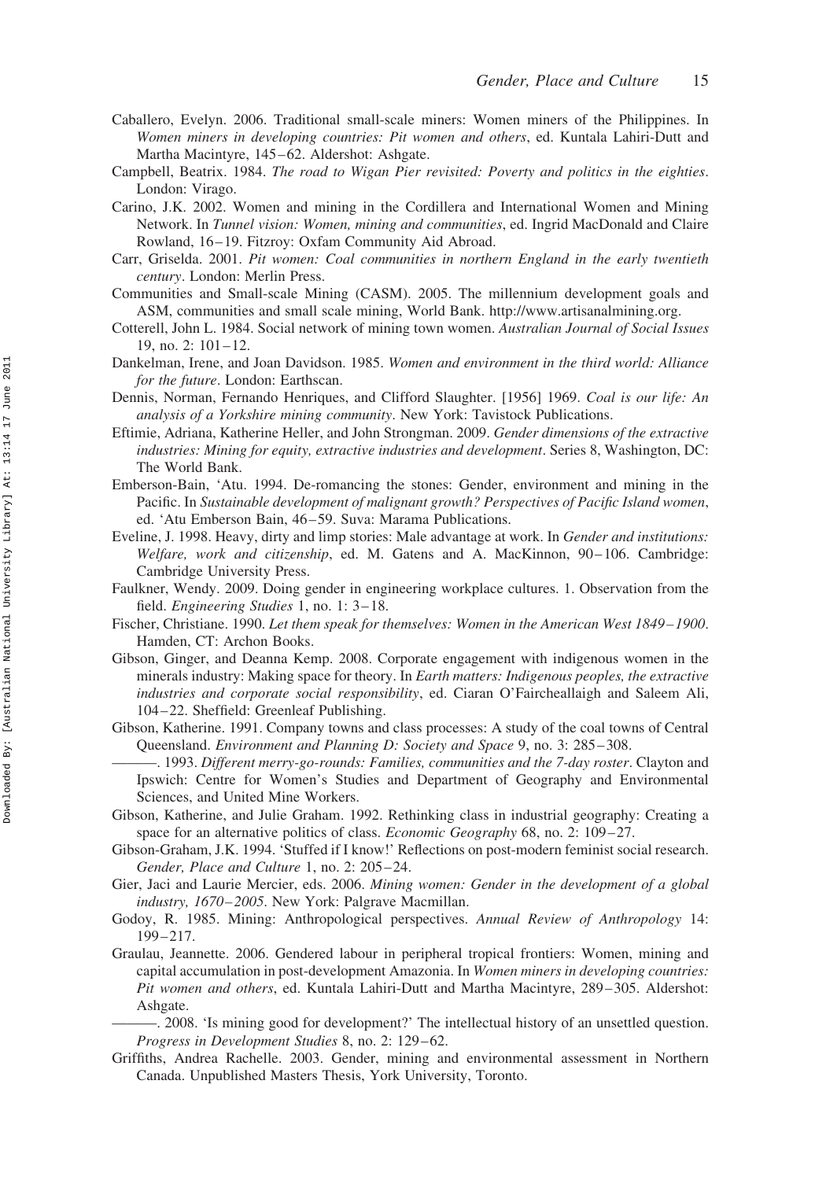- Caballero, Evelyn. 2006. Traditional small-scale miners: Women miners of the Philippines. In Women miners in developing countries: Pit women and others, ed. Kuntala Lahiri-Dutt and Martha Macintyre, 145–62. Aldershot: Ashgate.
- Campbell, Beatrix. 1984. The road to Wigan Pier revisited: Poverty and politics in the eighties. London: Virago.
- Carino, J.K. 2002. Women and mining in the Cordillera and International Women and Mining Network. In Tunnel vision: Women, mining and communities, ed. Ingrid MacDonald and Claire Rowland, 16–19. Fitzroy: Oxfam Community Aid Abroad.
- Carr, Griselda. 2001. Pit women: Coal communities in northern England in the early twentieth century. London: Merlin Press.
- Communities and Small-scale Mining (CASM). 2005. The millennium development goals and ASM, communities and small scale mining, World Bank. http://www.artisanalmining.org.
- Cotterell, John L. 1984. Social network of mining town women. Australian Journal of Social Issues 19, no. 2: 101–12.
- Dankelman, Irene, and Joan Davidson. 1985. Women and environment in the third world: Alliance for the future. London: Earthscan.
- Dennis, Norman, Fernando Henriques, and Clifford Slaughter. [1956] 1969. Coal is our life: An analysis of a Yorkshire mining community. New York: Tavistock Publications.
- Eftimie, Adriana, Katherine Heller, and John Strongman. 2009. Gender dimensions of the extractive industries: Mining for equity, extractive industries and development. Series 8, Washington, DC: The World Bank.
- Emberson-Bain, 'Atu. 1994. De-romancing the stones: Gender, environment and mining in the Pacific. In Sustainable development of malignant growth? Perspectives of Pacific Island women, ed. 'Atu Emberson Bain, 46–59. Suva: Marama Publications.
- Eveline, J. 1998. Heavy, dirty and limp stories: Male advantage at work. In Gender and institutions: Welfare, work and citizenship, ed. M. Gatens and A. MacKinnon, 90–106. Cambridge: Cambridge University Press.
- Faulkner, Wendy. 2009. Doing gender in engineering workplace cultures. 1. Observation from the field. Engineering Studies 1, no. 1: 3–18.
- Fischer, Christiane. 1990. Let them speak for themselves: Women in the American West 1849 –1900. Hamden, CT: Archon Books.
- Gibson, Ginger, and Deanna Kemp. 2008. Corporate engagement with indigenous women in the minerals industry: Making space for theory. In Earth matters: Indigenous peoples, the extractive industries and corporate social responsibility, ed. Ciaran O'Faircheallaigh and Saleem Ali, 104–22. Sheffield: Greenleaf Publishing.
- Gibson, Katherine. 1991. Company towns and class processes: A study of the coal towns of Central Queensland. Environment and Planning D: Society and Space 9, no. 3: 285–308.
- -. 1993. Different merry-go-rounds: Families, communities and the 7-day roster. Clayton and Ipswich: Centre for Women's Studies and Department of Geography and Environmental Sciences, and United Mine Workers.
- Gibson, Katherine, and Julie Graham. 1992. Rethinking class in industrial geography: Creating a space for an alternative politics of class. Economic Geography 68, no. 2: 109-27.
- Gibson-Graham, J.K. 1994. 'Stuffed if I know!' Reflections on post-modern feminist social research. Gender, Place and Culture 1, no. 2: 205–24.
- Gier, Jaci and Laurie Mercier, eds. 2006. Mining women: Gender in the development of a global industry, 1670-2005. New York: Palgrave Macmillan.
- Godoy, R. 1985. Mining: Anthropological perspectives. Annual Review of Anthropology 14: 199–217.
- Graulau, Jeannette. 2006. Gendered labour in peripheral tropical frontiers: Women, mining and capital accumulation in post-development Amazonia. In Women miners in developing countries: Pit women and others, ed. Kuntala Lahiri-Dutt and Martha Macintyre, 289–305. Aldershot: Ashgate.
	- -. 2008. 'Is mining good for development?' The intellectual history of an unsettled question. Progress in Development Studies 8, no. 2: 129–62.
- Griffiths, Andrea Rachelle. 2003. Gender, mining and environmental assessment in Northern Canada. Unpublished Masters Thesis, York University, Toronto.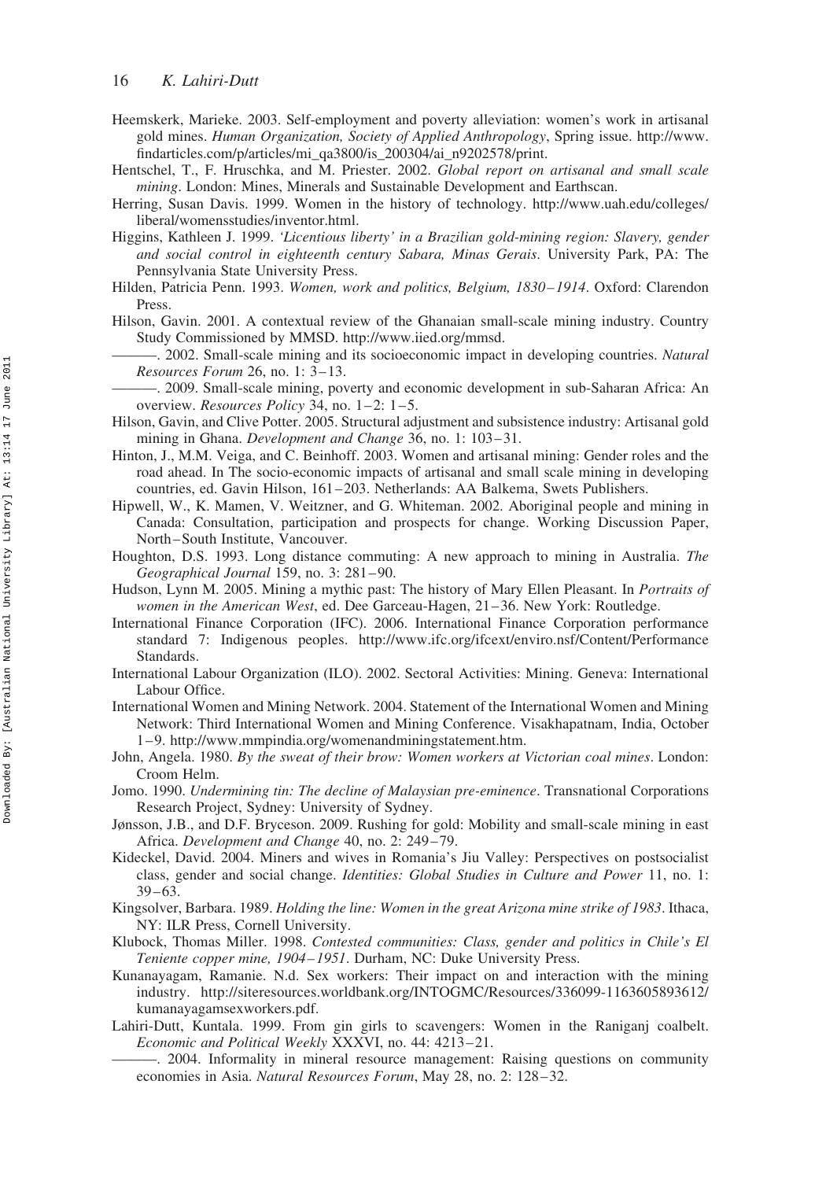- Heemskerk, Marieke. 2003. Self-employment and poverty alleviation: women's work in artisanal gold mines. Human Organization, Society of Applied Anthropology, Spring issue. http://www. findarticles.com/p/articles/mi\_qa3800/is\_200304/ai\_n9202578/print.
- Hentschel, T., F. Hruschka, and M. Priester. 2002. Global report on artisanal and small scale mining. London: Mines, Minerals and Sustainable Development and Earthscan.
- Herring, Susan Davis. 1999. Women in the history of technology. http://www.uah.edu/colleges/ liberal/womensstudies/inventor.html.
- Higgins, Kathleen J. 1999. 'Licentious liberty' in a Brazilian gold-mining region: Slavery, gender and social control in eighteenth century Sabara, Minas Gerais. University Park, PA: The Pennsylvania State University Press.
- Hilden, Patricia Penn. 1993. Women, work and politics, Belgium, 1830-1914. Oxford: Clarendon Press.
- Hilson, Gavin. 2001. A contextual review of the Ghanaian small-scale mining industry. Country Study Commissioned by MMSD. http://www.iied.org/mmsd.
	- -. 2002. Small-scale mining and its socioeconomic impact in developing countries. Natural Resources Forum 26, no. 1: 3–13.
	- ———. 2009. Small-scale mining, poverty and economic development in sub-Saharan Africa: An overview. Resources Policy 34, no. 1–2: 1–5.
- Hilson, Gavin, and Clive Potter. 2005. Structural adjustment and subsistence industry: Artisanal gold mining in Ghana. *Development and Change* 36, no. 1: 103–31.
- Hinton, J., M.M. Veiga, and C. Beinhoff. 2003. Women and artisanal mining: Gender roles and the road ahead. In The socio-economic impacts of artisanal and small scale mining in developing countries, ed. Gavin Hilson, 161–203. Netherlands: AA Balkema, Swets Publishers.
- Hipwell, W., K. Mamen, V. Weitzner, and G. Whiteman. 2002. Aboriginal people and mining in Canada: Consultation, participation and prospects for change. Working Discussion Paper, North–South Institute, Vancouver.
- Houghton, D.S. 1993. Long distance commuting: A new approach to mining in Australia. The Geographical Journal 159, no. 3: 281–90.
- Hudson, Lynn M. 2005. Mining a mythic past: The history of Mary Ellen Pleasant. In Portraits of women in the American West, ed. Dee Garceau-Hagen, 21–36. New York: Routledge.
- International Finance Corporation (IFC). 2006. International Finance Corporation performance standard 7: Indigenous peoples. http://www.ifc.org/ifcext/enviro.nsf/Content/Performance Standards.
- International Labour Organization (ILO). 2002. Sectoral Activities: Mining. Geneva: International Labour Office.
- International Women and Mining Network. 2004. Statement of the International Women and Mining Network: Third International Women and Mining Conference. Visakhapatnam, India, October 1–9. http://www.mmpindia.org/womenandminingstatement.htm.
- John, Angela. 1980. By the sweat of their brow: Women workers at Victorian coal mines. London: Croom Helm.
- Jomo. 1990. Undermining tin: The decline of Malaysian pre-eminence. Transnational Corporations Research Project, Sydney: University of Sydney.
- Jønsson, J.B., and D.F. Bryceson. 2009. Rushing for gold: Mobility and small-scale mining in east Africa. Development and Change 40, no. 2: 249–79.
- Kideckel, David. 2004. Miners and wives in Romania's Jiu Valley: Perspectives on postsocialist class, gender and social change. Identities: Global Studies in Culture and Power 11, no. 1: 39–63.
- Kingsolver, Barbara. 1989. Holding the line: Women in the great Arizona mine strike of 1983. Ithaca, NY: ILR Press, Cornell University.
- Klubock, Thomas Miller. 1998. Contested communities: Class, gender and politics in Chile's El Teniente copper mine, 1904– 1951. Durham, NC: Duke University Press.
- Kunanayagam, Ramanie. N.d. Sex workers: Their impact on and interaction with the mining industry. http://siteresources.worldbank.org/INTOGMC/Resources/336099-1163605893612/ kumanayagamsexworkers.pdf.
- Lahiri-Dutt, Kuntala. 1999. From gin girls to scavengers: Women in the Raniganj coalbelt. Economic and Political Weekly XXXVI, no. 44: 4213–21.
	- ———. 2004. Informality in mineral resource management: Raising questions on community economies in Asia. Natural Resources Forum, May 28, no. 2: 128–32.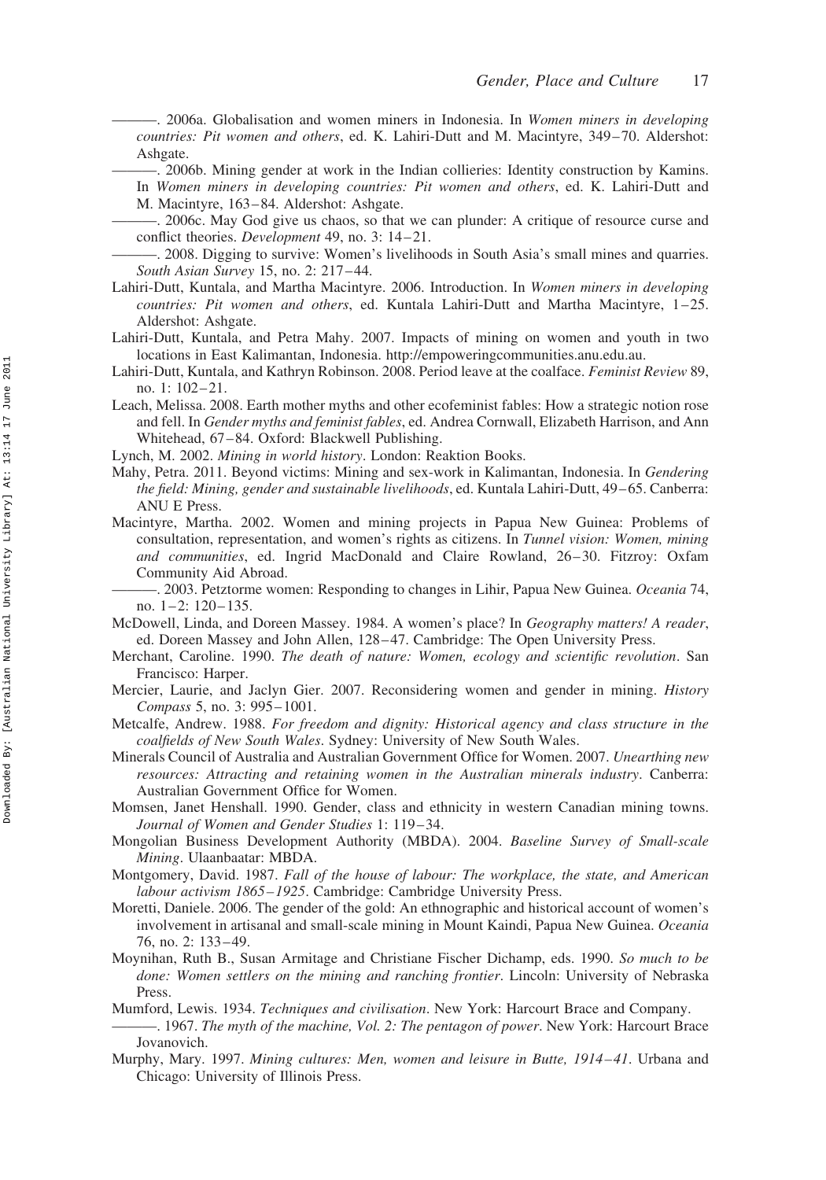———. 2006a. Globalisation and women miners in Indonesia. In Women miners in developing countries: Pit women and others, ed. K. Lahiri-Dutt and M. Macintyre, 349–70. Aldershot: Ashgate.

———. 2006b. Mining gender at work in the Indian collieries: Identity construction by Kamins. In Women miners in developing countries: Pit women and others, ed. K. Lahiri-Dutt and M. Macintyre, 163–84. Aldershot: Ashgate.

———. 2006c. May God give us chaos, so that we can plunder: A critique of resource curse and conflict theories. Development 49, no. 3: 14–21.

———. 2008. Digging to survive: Women's livelihoods in South Asia's small mines and quarries. South Asian Survey 15, no. 2: 217–44.

- Lahiri-Dutt, Kuntala, and Martha Macintyre. 2006. Introduction. In Women miners in developing  $countries: Pit women and others, ed. Kuntala Lahiri-Dutt and Martha Macintyre,  $1-25$ .$ Aldershot: Ashgate.
- Lahiri-Dutt, Kuntala, and Petra Mahy. 2007. Impacts of mining on women and youth in two locations in East Kalimantan, Indonesia. http://empoweringcommunities.anu.edu.au.
- Lahiri-Dutt, Kuntala, and Kathryn Robinson. 2008. Period leave at the coalface. Feminist Review 89, no. 1: 102–21.
- Leach, Melissa. 2008. Earth mother myths and other ecofeminist fables: How a strategic notion rose and fell. In Gender myths and feminist fables, ed. Andrea Cornwall, Elizabeth Harrison, and Ann Whitehead, 67–84. Oxford: Blackwell Publishing.
- Lynch, M. 2002. Mining in world history. London: Reaktion Books.
- Mahy, Petra. 2011. Beyond victims: Mining and sex-work in Kalimantan, Indonesia. In Gendering the field: Mining, gender and sustainable livelihoods, ed. Kuntala Lahiri-Dutt, 49–65. Canberra: ANU E Press.
- Macintyre, Martha. 2002. Women and mining projects in Papua New Guinea: Problems of consultation, representation, and women's rights as citizens. In Tunnel vision: Women, mining and communities, ed. Ingrid MacDonald and Claire Rowland, 26–30. Fitzroy: Oxfam Community Aid Abroad.

———. 2003. Petztorme women: Responding to changes in Lihir, Papua New Guinea. Oceania 74, no. 1–2: 120–135.

- McDowell, Linda, and Doreen Massey. 1984. A women's place? In Geography matters! A reader, ed. Doreen Massey and John Allen, 128–47. Cambridge: The Open University Press.
- Merchant, Caroline. 1990. The death of nature: Women, ecology and scientific revolution. San Francisco: Harper.
- Mercier, Laurie, and Jaclyn Gier. 2007. Reconsidering women and gender in mining. History Compass 5, no. 3: 995–1001.
- Metcalfe, Andrew. 1988. For freedom and dignity: Historical agency and class structure in the coalfields of New South Wales. Sydney: University of New South Wales.
- Minerals Council of Australia and Australian Government Office for Women. 2007. Unearthing new resources: Attracting and retaining women in the Australian minerals industry. Canberra: Australian Government Office for Women.
- Momsen, Janet Henshall. 1990. Gender, class and ethnicity in western Canadian mining towns. Journal of Women and Gender Studies 1: 119–34.
- Mongolian Business Development Authority (MBDA). 2004. Baseline Survey of Small-scale Mining. Ulaanbaatar: MBDA.
- Montgomery, David. 1987. Fall of the house of labour: The workplace, the state, and American labour activism 1865–1925. Cambridge: Cambridge University Press.
- Moretti, Daniele. 2006. The gender of the gold: An ethnographic and historical account of women's involvement in artisanal and small-scale mining in Mount Kaindi, Papua New Guinea. Oceania 76, no. 2: 133–49.
- Moynihan, Ruth B., Susan Armitage and Christiane Fischer Dichamp, eds. 1990. So much to be done: Women settlers on the mining and ranching frontier. Lincoln: University of Nebraska Press.

Mumford, Lewis. 1934. Techniques and civilisation. New York: Harcourt Brace and Company.

- –, 1967. The myth of the machine, Vol. 2: The pentagon of power. New York: Harcourt Brace Jovanovich.
- Murphy, Mary. 1997. Mining cultures: Men, women and leisure in Butte, 1914–41. Urbana and Chicago: University of Illinois Press.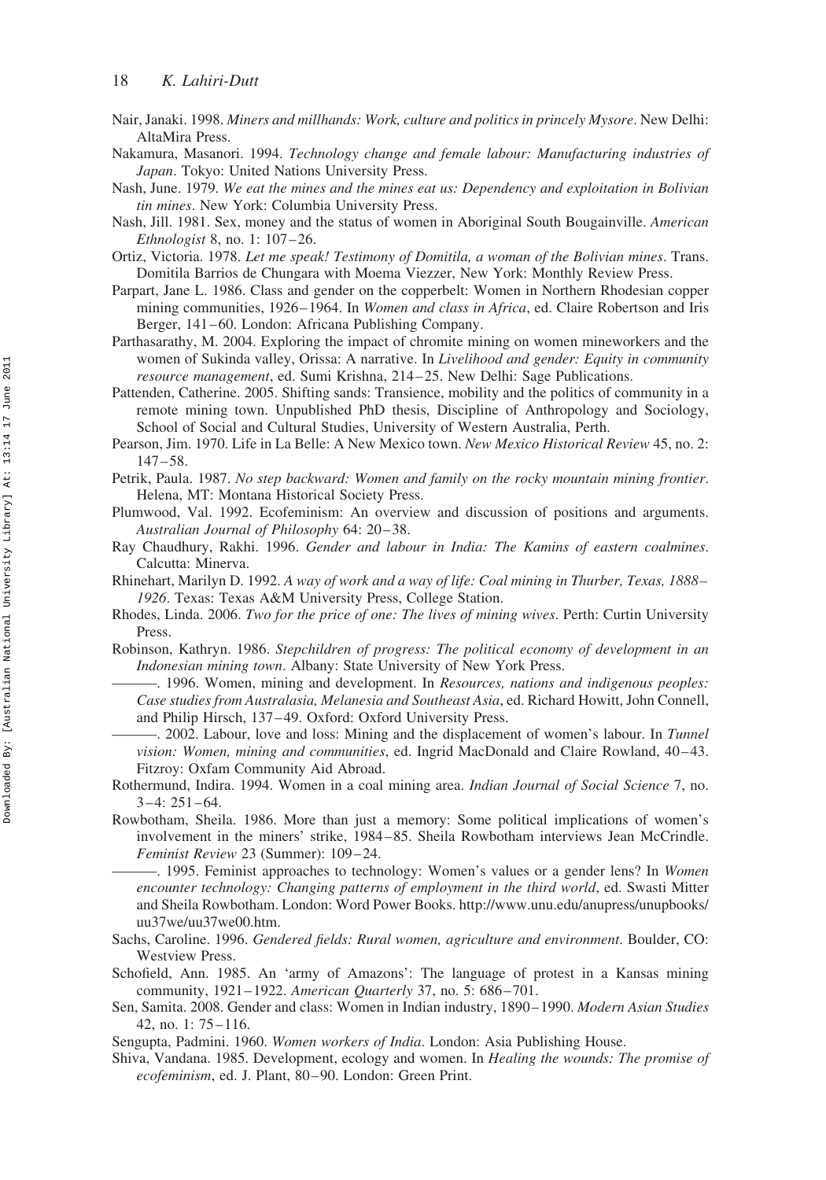- Nair, Janaki. 1998. Miners and millhands: Work, culture and politics in princely Mysore. New Delhi: AltaMira Press.
- Nakamura, Masanori. 1994. Technology change and female labour: Manufacturing industries of Japan. Tokyo: United Nations University Press.
- Nash, June. 1979. We eat the mines and the mines eat us: Dependency and exploitation in Bolivian tin mines. New York: Columbia University Press.
- Nash, Jill. 1981. Sex, money and the status of women in Aboriginal South Bougainville. American Ethnologist 8, no. 1: 107–26.
- Ortiz, Victoria. 1978. Let me speak! Testimony of Domitila, a woman of the Bolivian mines. Trans. Domitila Barrios de Chungara with Moema Viezzer, New York: Monthly Review Press.
- Parpart, Jane L. 1986. Class and gender on the copperbelt: Women in Northern Rhodesian copper mining communities, 1926–1964. In Women and class in Africa, ed. Claire Robertson and Iris Berger, 141–60. London: Africana Publishing Company.
- Parthasarathy, M. 2004. Exploring the impact of chromite mining on women mineworkers and the women of Sukinda valley, Orissa: A narrative. In Livelihood and gender: Equity in community resource management, ed. Sumi Krishna, 214–25. New Delhi: Sage Publications.
- Pattenden, Catherine. 2005. Shifting sands: Transience, mobility and the politics of community in a remote mining town. Unpublished PhD thesis, Discipline of Anthropology and Sociology, School of Social and Cultural Studies, University of Western Australia, Perth.
- Pearson, Jim. 1970. Life in La Belle: A New Mexico town. New Mexico Historical Review 45, no. 2: 147–58.
- Petrik, Paula. 1987. No step backward: Women and family on the rocky mountain mining frontier. Helena, MT: Montana Historical Society Press.
- Plumwood, Val. 1992. Ecofeminism: An overview and discussion of positions and arguments. Australian Journal of Philosophy 64: 20–38.
- Ray Chaudhury, Rakhi. 1996. Gender and labour in India: The Kamins of eastern coalmines. Calcutta: Minerva.
- Rhinehart, Marilyn D. 1992. A way of work and a way of life: Coal mining in Thurber, Texas, 1888– 1926. Texas: Texas A&M University Press, College Station.
- Rhodes, Linda. 2006. Two for the price of one: The lives of mining wives. Perth: Curtin University Press.
- Robinson, Kathryn. 1986. Stepchildren of progress: The political economy of development in an Indonesian mining town. Albany: State University of New York Press.
	- -. 1996. Women, mining and development. In *Resources, nations and indigenous peoples:* Case studies from Australasia, Melanesia and Southeast Asia, ed. Richard Howitt, John Connell, and Philip Hirsch, 137–49. Oxford: Oxford University Press.
	- . 2002. Labour, love and loss: Mining and the displacement of women's labour. In Tunnel vision: Women, mining and communities, ed. Ingrid MacDonald and Claire Rowland, 40–43. Fitzroy: Oxfam Community Aid Abroad.
- Rothermund, Indira. 1994. Women in a coal mining area. *Indian Journal of Social Science* 7, no. 3–4: 251–64.
- Rowbotham, Sheila. 1986. More than just a memory: Some political implications of women's involvement in the miners' strike, 1984–85. Sheila Rowbotham interviews Jean McCrindle. Feminist Review 23 (Summer): 109–24.
	- -. 1995. Feminist approaches to technology: Women's values or a gender lens? In Women encounter technology: Changing patterns of employment in the third world, ed. Swasti Mitter and Sheila Rowbotham. London: Word Power Books. http://www.unu.edu/anupress/unupbooks/ uu37we/uu37we00.htm.
- Sachs, Caroline. 1996. Gendered fields: Rural women, agriculture and environment. Boulder, CO: Westview Press.
- Schofield, Ann. 1985. An 'army of Amazons': The language of protest in a Kansas mining community, 1921–1922. American Quarterly 37, no. 5: 686–701.
- Sen, Samita. 2008. Gender and class: Women in Indian industry, 1890–1990. Modern Asian Studies 42, no. 1: 75–116.
- Sengupta, Padmini. 1960. Women workers of India. London: Asia Publishing House.
- Shiva, Vandana. 1985. Development, ecology and women. In Healing the wounds: The promise of ecofeminism, ed. J. Plant, 80–90. London: Green Print.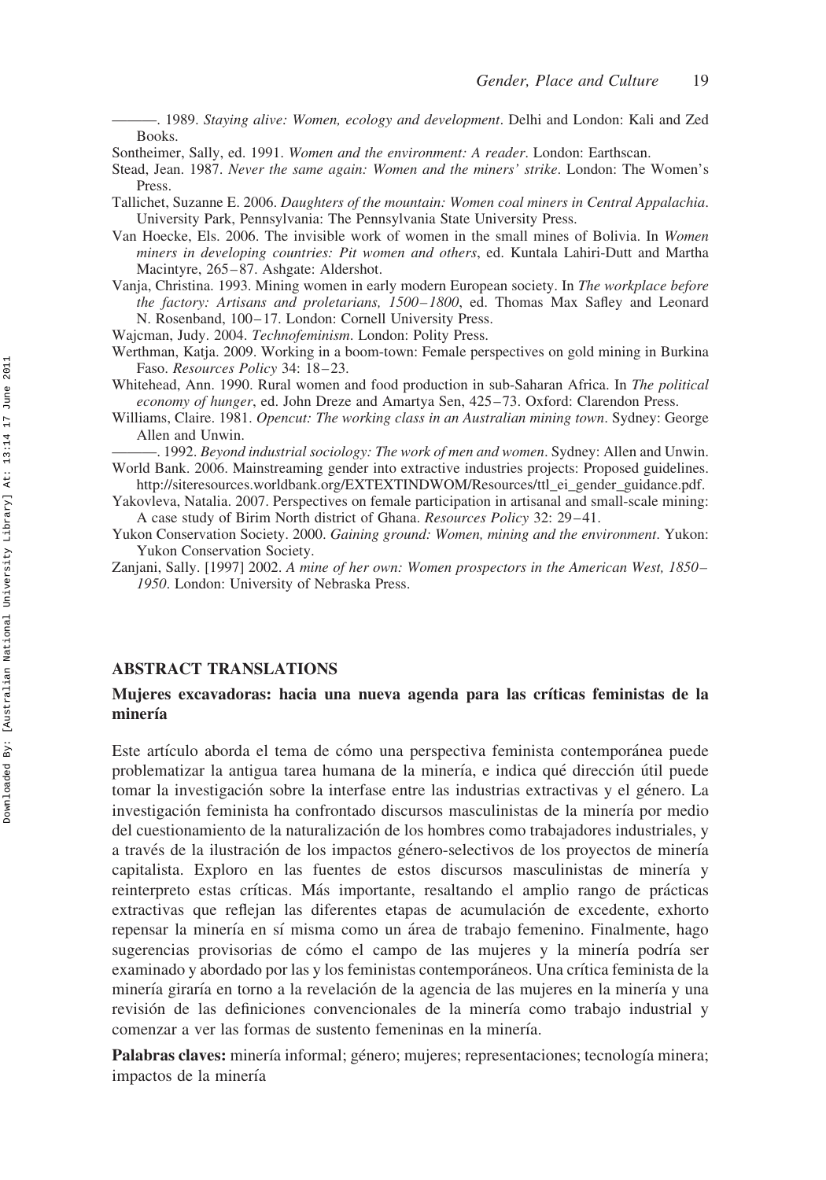-, 1989. Staying alive: Women, ecology and development. Delhi and London: Kali and Zed Books.

Sontheimer, Sally, ed. 1991. Women and the environment: A reader. London: Earthscan.

- Stead, Jean. 1987. Never the same again: Women and the miners' strike. London: The Women's Press.
- Tallichet, Suzanne E. 2006. Daughters of the mountain: Women coal miners in Central Appalachia. University Park, Pennsylvania: The Pennsylvania State University Press.
- Van Hoecke, Els. 2006. The invisible work of women in the small mines of Bolivia. In Women miners in developing countries: Pit women and others, ed. Kuntala Lahiri-Dutt and Martha Macintyre, 265–87. Ashgate: Aldershot.
- Vanja, Christina. 1993. Mining women in early modern European society. In The workplace before the factory: Artisans and proletarians, 1500– 1800, ed. Thomas Max Safley and Leonard N. Rosenband, 100–17. London: Cornell University Press.
- Wajcman, Judy. 2004. Technofeminism. London: Polity Press.
- Werthman, Katja. 2009. Working in a boom-town: Female perspectives on gold mining in Burkina Faso. Resources Policy 34: 18–23.
- Whitehead, Ann. 1990. Rural women and food production in sub-Saharan Africa. In The political economy of hunger, ed. John Dreze and Amartya Sen, 425–73. Oxford: Clarendon Press.
- Williams, Claire. 1981. Opencut: The working class in an Australian mining town. Sydney: George Allen and Unwin.

-. 1992. Beyond industrial sociology: The work of men and women. Sydney: Allen and Unwin. World Bank. 2006. Mainstreaming gender into extractive industries projects: Proposed guidelines.

- http://siteresources.worldbank.org/EXTEXTINDWOM/Resources/ttl\_ei\_gender\_guidance.pdf. Yakovleva, Natalia. 2007. Perspectives on female participation in artisanal and small-scale mining: A case study of Birim North district of Ghana. Resources Policy 32: 29–41.
- Yukon Conservation Society. 2000. Gaining ground: Women, mining and the environment. Yukon: Yukon Conservation Society.
- Zanjani, Sally. [1997] 2002. A mine of her own: Women prospectors in the American West, 1850– 1950. London: University of Nebraska Press.

#### ABSTRACT TRANSLATIONS

## Mujeres excavadoras: hacia una nueva agenda para las críticas feministas de la minería

Este artículo aborda el tema de cómo una perspectiva feminista contemporánea puede problematizar la antigua tarea humana de la minería, e indica qué dirección útil puede tomar la investigación sobre la interfase entre las industrias extractivas y el género. La investigación feminista ha confrontado discursos masculinistas de la minería por medio del cuestionamiento de la naturalización de los hombres como trabajadores industriales, y a través de la ilustración de los impactos género-selectivos de los proyectos de minería capitalista. Exploro en las fuentes de estos discursos masculinistas de minería y reinterpreto estas críticas. Más importante, resaltando el amplio rango de prácticas extractivas que reflejan las diferentes etapas de acumulación de excedente, exhorto repensar la minería en sí misma como un área de trabajo femenino. Finalmente, hago sugerencias provisorias de cómo el campo de las mujeres y la minería podría ser examinado y abordado por las y los feministas contemporáneos. Una crítica feminista de la minería giraría en torno a la revelación de la agencia de las mujeres en la minería y una revisión de las definiciones convencionales de la minería como trabajo industrial y comenzar a ver las formas de sustento femeninas en la minería.

Palabras claves: minería informal; género; mujeres; representaciones; tecnología minera; impactos de la minería